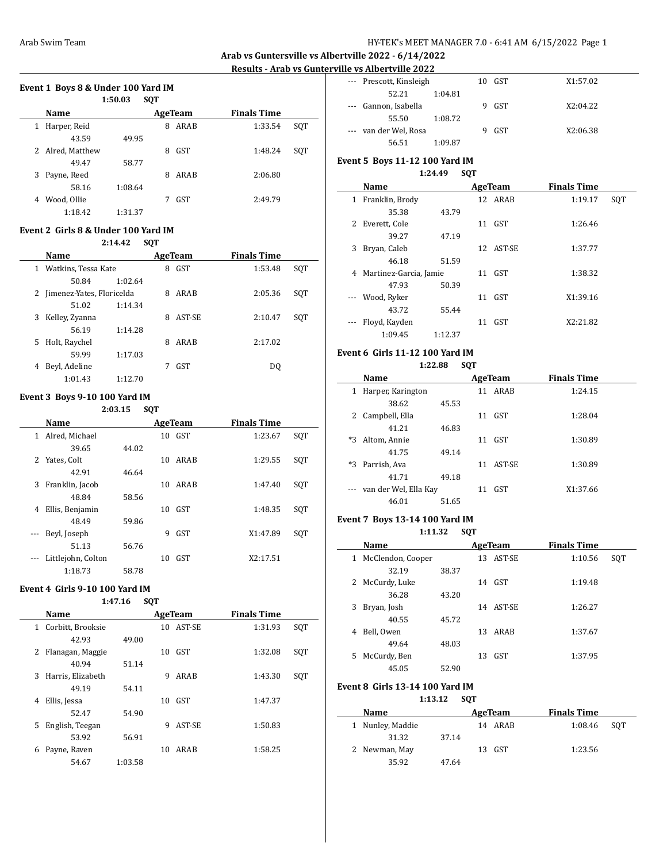**Arab vs Guntersville vs Albertville 2022 - 6/14/2022**

# **Results - Arab vs Gunterville vs Albertville 2022**

## **Event 1 Boys 8 & Under 100 Yard IM**

|   |                  | 1:50.03 | <b>SQT</b> |            |                    |     |
|---|------------------|---------|------------|------------|--------------------|-----|
|   | Name             |         |            | AgeTeam    | <b>Finals Time</b> |     |
| 1 | Harper, Reid     |         | 8          | ARAB       | 1:33.54            | SOT |
|   | 43.59            | 49.95   |            |            |                    |     |
|   | 2 Alred, Matthew |         | 8          | <b>GST</b> | 1:48.24            | SQT |
|   | 49.47            | 58.77   |            |            |                    |     |
| 3 | Payne, Reed      |         | 8          | ARAB       | 2:06.80            |     |
|   | 58.16            | 1:08.64 |            |            |                    |     |
| 4 | Wood, Ollie      |         |            | <b>GST</b> | 2:49.79            |     |
|   | 1:18.42          | 1:31.37 |            |            |                    |     |

#### **Event 2 Girls 8 & Under 100 Yard IM**

|   |                           | 2:14.42 | <b>SQT</b> |            |                    |     |
|---|---------------------------|---------|------------|------------|--------------------|-----|
|   | <b>Name</b>               |         |            | AgeTeam    | <b>Finals Time</b> |     |
| 1 | Watkins, Tessa Kate       |         | 8          | <b>GST</b> | 1:53.48            | SOT |
|   | 50.84                     | 1:02.64 |            |            |                    |     |
| 2 | Jimenez-Yates, Floricelda |         | 8          | ARAB       | 2:05.36            | SQT |
|   | 51.02                     | 1:14.34 |            |            |                    |     |
| 3 | Kelley, Zyanna            |         | 8          | AST-SE     | 2:10.47            | SOT |
|   | 56.19                     | 1:14.28 |            |            |                    |     |
| 5 | Holt, Raychel             |         | 8          | ARAB       | 2:17.02            |     |
|   | 59.99                     | 1:17.03 |            |            |                    |     |
| 4 | Beyl, Adeline             |         |            | <b>GST</b> | DO.                |     |
|   | 1:01.43                   | 1:12.70 |            |            |                    |     |

### **Event 3 Boys 9-10 100 Yard IM**

## **2:03.15 SQT**

|                          | Name               |       |    | AgeTeam    | <b>Finals Time</b> |     |
|--------------------------|--------------------|-------|----|------------|--------------------|-----|
| 1                        | Alred, Michael     |       | 10 | GST        | 1:23.67            | SQT |
|                          | 39.65              | 44.02 |    |            |                    |     |
|                          | 2 Yates, Colt      |       | 10 | ARAB       | 1:29.55            | SQT |
|                          | 42.91              | 46.64 |    |            |                    |     |
| 3                        | Franklin, Jacob    |       | 10 | ARAB       | 1:47.40            | SQT |
|                          | 48.84              | 58.56 |    |            |                    |     |
| 4                        | Ellis, Benjamin    |       | 10 | GST        | 1:48.35            | SQT |
|                          | 48.49              | 59.86 |    |            |                    |     |
| $\overline{\phantom{a}}$ | Beyl, Joseph       |       | 9  | <b>GST</b> | X1:47.89           | SQT |
|                          | 51.13              | 56.76 |    |            |                    |     |
|                          | Littlejohn, Colton |       | 10 | <b>GST</b> | X2:17.51           |     |
|                          | 1:18.73            | 58.78 |    |            |                    |     |

### **Event 4 Girls 9-10 100 Yard IM**

#### **1:47.16 SQT**

|              | Name              |         |    | AgeTeam    | <b>Finals Time</b> |     |
|--------------|-------------------|---------|----|------------|--------------------|-----|
| $\mathbf{1}$ | Corbitt, Brooksie |         | 10 | AST-SE     | 1:31.93            | SQT |
|              | 42.93             | 49.00   |    |            |                    |     |
| 2            | Flanagan, Maggie  |         | 10 | <b>GST</b> | 1:32.08            | SQT |
|              | 40.94             | 51.14   |    |            |                    |     |
| 3            | Harris, Elizabeth |         | 9  | ARAB       | 1:43.30            | SQT |
|              | 49.19             | 54.11   |    |            |                    |     |
| 4            | Ellis, Jessa      |         | 10 | <b>GST</b> | 1:47.37            |     |
|              | 52.47             | 54.90   |    |            |                    |     |
| 5            | English, Teegan   |         | 9  | AST-SE     | 1:50.83            |     |
|              | 53.92             | 56.91   |    |            |                    |     |
| 6            | Payne, Raven      |         | 10 | ARAB       | 1:58.25            |     |
|              | 54.67             | 1:03.58 |    |            |                    |     |

| ше va ліцегіvніе 2022   |         |    |        |          |
|-------------------------|---------|----|--------|----------|
| --- Prescott, Kinsleigh |         |    | 10 GST | X1:57.02 |
| 52.21                   | 1:04.81 |    |        |          |
| --- Gannon, Isabella    |         | 9  | GST    | X2:04.22 |
| 55.50                   | 1:08.72 |    |        |          |
| --- van der Wel, Rosa   |         | g. | GST    | X2:06.38 |
| 56.51                   | 1:09.87 |    |        |          |

### **Event 5 Boys 11-12 100 Yard IM 1:24.49 SQT**

|              | Name                   |         |    | AgeTeam   | <b>Finals Time</b> |     |
|--------------|------------------------|---------|----|-----------|--------------------|-----|
| $\mathbf{1}$ | Franklin, Brody        |         |    | 12 ARAB   | 1:19.17            | SOT |
|              | 35.38                  | 43.79   |    |           |                    |     |
|              | 2 Everett, Cole        |         |    | $11$ GST  | 1:26.46            |     |
|              | 39.27                  | 47.19   |    |           |                    |     |
| 3            | Bryan, Caleb           |         |    | 12 AST-SE | 1:37.77            |     |
|              | 46.18                  | 51.59   |    |           |                    |     |
| 4            | Martinez-Garcia, Jamie |         | 11 | GST       | 1:38.32            |     |
|              | 47.93                  | 50.39   |    |           |                    |     |
| $\cdots$     | Wood, Ryker            |         | 11 | GST       | X1:39.16           |     |
|              | 43.72                  | 55.44   |    |           |                    |     |
|              | Floyd, Kayden          |         |    | 11 GST    | X2:21.82           |     |
|              | 1:09.45                | 1:12.37 |    |           |                    |     |

### **Event 6 Girls 11-12 100 Yard IM**

#### **1:22.88 SQT**

|          | Name                  |       |    | AgeTeam | <b>Finals Time</b> |  |
|----------|-----------------------|-------|----|---------|--------------------|--|
| 1        | Harper, Karington     |       |    | 11 ARAB | 1:24.15            |  |
|          | 38.62                 | 45.53 |    |         |                    |  |
| 2        | Campbell, Ella        |       | 11 | GST     | 1:28.04            |  |
|          | 41.21                 | 46.83 |    |         |                    |  |
| *3       | Altom, Annie          |       | 11 | GST     | 1:30.89            |  |
|          | 41.75                 | 49.14 |    |         |                    |  |
| *3       | Parrish, Ava          |       | 11 | AST-SE  | 1:30.89            |  |
|          | 41.71                 | 49.18 |    |         |                    |  |
| $\cdots$ | van der Wel, Ella Kay |       | 11 | GST     | X1:37.66           |  |
|          | 46.01                 | 51.65 |    |         |                    |  |

### **Event 7 Boys 13-14 100 Yard IM 1:11.32 SQT**

|    | Name              |       |    | AgeTeam    | <b>Finals Time</b> |     |
|----|-------------------|-------|----|------------|--------------------|-----|
| 1  | McClendon, Cooper |       | 13 | AST-SE     | 1:10.56            | SQT |
|    | 32.19             | 38.37 |    |            |                    |     |
| 2  | McCurdy, Luke     |       | 14 | GST        | 1:19.48            |     |
|    | 36.28             | 43.20 |    |            |                    |     |
| 3  | Bryan, Josh       |       | 14 | AST-SE     | 1:26.27            |     |
|    | 40.55             | 45.72 |    |            |                    |     |
| 4  | Bell, Owen        |       | 13 | ARAB       | 1:37.67            |     |
|    | 49.64             | 48.03 |    |            |                    |     |
| 5. | McCurdy, Ben      |       | 13 | <b>GST</b> | 1:37.95            |     |
|    | 45.05             | 52.90 |    |            |                    |     |

#### **Event 8 Girls 13-14 100 Yard IM**

#### **1:13.12 SQT**

| Name             |       | AgeTeam | <b>Finals Time</b> |     |
|------------------|-------|---------|--------------------|-----|
| 1 Nunley, Maddie |       | 14 ARAB | 1:08.46            | SOT |
| 31.32            | 37.14 |         |                    |     |
| 2 Newman, May    |       | 13 GST  | 1:23.56            |     |
| 35.92            | 47.64 |         |                    |     |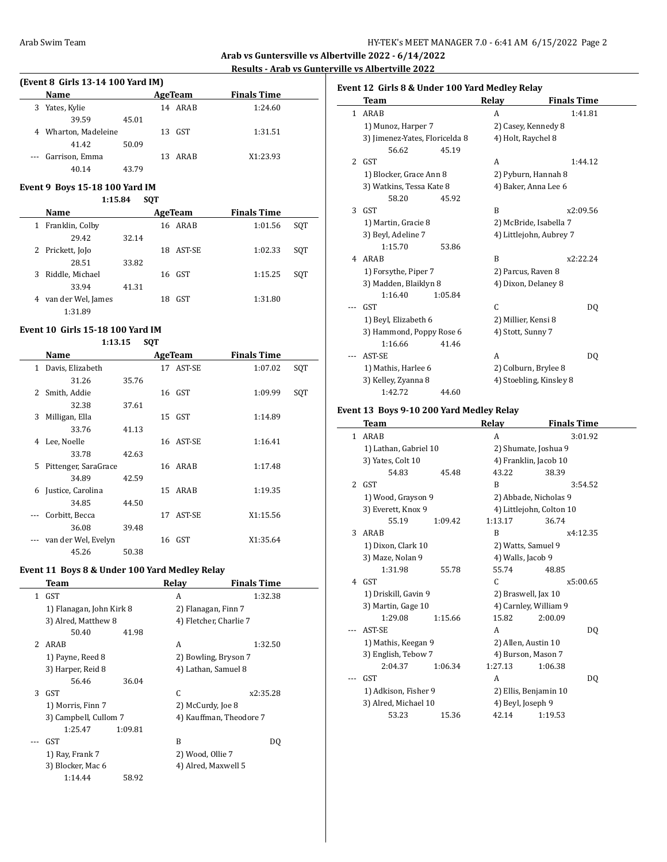**Arab vs Guntersville vs Albertville 2022 - 6/14/2022 Results - Arab vs Gunterville vs Albertville 2022**

## **(Event 8 Girls 13-14 100 Yard IM)**

|   | Name                 |       |    | AgeTeam | <b>Finals Time</b> |  |
|---|----------------------|-------|----|---------|--------------------|--|
| 3 | Yates, Kylie         |       |    | 14 ARAB | 1:24.60            |  |
|   | 39.59                | 45.01 |    |         |                    |  |
|   | 4 Wharton, Madeleine |       |    | 13 GST  | 1:31.51            |  |
|   | 41.42                | 50.09 |    |         |                    |  |
|   | --- Garrison, Emma   |       | 13 | ARAB    | X1:23.93           |  |
|   | 40.14                | 43.79 |    |         |                    |  |

### **Event 9 Boys 15-18 100 Yard IM**

| 1:15.84 | <b>SOT</b> |
|---------|------------|
|         |            |

|   | Name               | AgeTeam |    |           | <b>Finals Time</b> |     |
|---|--------------------|---------|----|-----------|--------------------|-----|
| 1 | Franklin, Colby    |         |    | 16 ARAB   | 1:01.56            | SOT |
|   | 29.42              | 32.14   |    |           |                    |     |
|   | 2 Prickett, JoJo   |         |    | 18 AST-SE | 1:02.33            | SOT |
|   | 28.51              | 33.82   |    |           |                    |     |
| 3 | Riddle, Michael    |         |    | 16 GST    | 1:15.25            | SOT |
|   | 33.94              | 41.31   |    |           |                    |     |
| 4 | van der Wel, James |         | 18 | GST       | 1:31.80            |     |
|   | 1:31.89            |         |    |           |                    |     |

### **Event 10 Girls 15-18 100 Yard IM**

|              | 1:13.15              |       | <b>SQT</b>     |           |                    |     |
|--------------|----------------------|-------|----------------|-----------|--------------------|-----|
|              | Name                 |       | <b>AgeTeam</b> |           | <b>Finals Time</b> |     |
| $\mathbf{1}$ | Davis, Elizabeth     |       |                | 17 AST-SE | 1:07.02            | SQT |
|              | 31.26                | 35.76 |                |           |                    |     |
| 2            | Smith, Addie         |       |                | 16 GST    | 1:09.99            | SQT |
|              | 32.38                | 37.61 |                |           |                    |     |
| 3            | Milligan, Ella       |       |                | 15 GST    | 1:14.89            |     |
|              | 33.76                | 41.13 |                |           |                    |     |
| 4            | Lee, Noelle          |       |                | 16 AST-SE | 1:16.41            |     |
|              | 33.78                | 42.63 |                |           |                    |     |
| 5            | Pittenger, SaraGrace |       |                | 16 ARAB   | 1:17.48            |     |
|              | 34.89                | 42.59 |                |           |                    |     |
| 6            | Justice, Carolina    |       |                | 15 ARAB   | 1:19.35            |     |
|              | 34.85                | 44.50 |                |           |                    |     |
|              | Corbitt, Becca       |       | 17             | AST-SE    | X1:15.56           |     |
|              | 36.08                | 39.48 |                |           |                    |     |
|              | van der Wel, Evelyn  |       |                | 16 GST    | X1:35.64           |     |
|              | 45.26                | 50.38 |                |           |                    |     |

## **Event 11 Boys 8 & Under 100 Yard Medley Relay**

| Team                  | Relay                 | <b>Finals Time</b>                                             |
|-----------------------|-----------------------|----------------------------------------------------------------|
| <b>GST</b>            | A                     | 1:32.38                                                        |
|                       |                       | 2) Flanagan, Finn 7                                            |
| 3) Alred, Matthew 8   |                       | 4) Fletcher, Charlie 7                                         |
| 50.40                 |                       |                                                                |
|                       | A                     | 1:32.50                                                        |
| 1) Payne, Reed 8      |                       | 2) Bowling, Bryson 7                                           |
| 3) Harper, Reid 8     |                       | 4) Lathan, Samuel 8                                            |
| 56.46                 |                       |                                                                |
| <b>GST</b>            | C                     | x2:35.28                                                       |
| 1) Morris, Finn 7     |                       | 2) McCurdy, Joe 8                                              |
| 3) Campbell, Cullom 7 |                       | 4) Kauffman, Theodore 7                                        |
| 1:25.47               |                       |                                                                |
| GST                   | R                     | DO.                                                            |
| 1) Ray, Frank 7       |                       | 2) Wood, Ollie 7                                               |
| 3) Blocker, Mac 6     |                       | 4) Alred, Maxwell 5                                            |
| 1:14.44               |                       |                                                                |
|                       | $\mathcal{P}$<br>ARAB | 1) Flanagan, John Kirk 8<br>41.98<br>36.04<br>1:09.81<br>58.92 |

|              | Team                           |         | Relay             | <b>Finals Time</b>      |  |
|--------------|--------------------------------|---------|-------------------|-------------------------|--|
| $\mathbf{1}$ | ARAB                           |         | A                 | 1:41.81                 |  |
|              | 1) Munoz, Harper 7             |         |                   | 2) Casey, Kennedy 8     |  |
|              | 3) Jimenez-Yates, Floricelda 8 |         |                   | 4) Holt, Raychel 8      |  |
|              | 56.62                          | 45.19   |                   |                         |  |
|              | $2$ GST                        |         | A                 | 1:44.12                 |  |
|              | 1) Blocker, Grace Ann 8        |         |                   | 2) Pyburn, Hannah 8     |  |
|              | 3) Watkins, Tessa Kate 8       |         |                   | 4) Baker, Anna Lee 6    |  |
|              | 58.20                          | 45.92   |                   |                         |  |
| 3            | GST                            |         | B                 | x2:09.56                |  |
|              | 1) Martin, Gracie 8            |         |                   | 2) McBride, Isabella 7  |  |
|              | 3) Beyl, Adeline 7             |         |                   | 4) Littlejohn, Aubrey 7 |  |
|              | 1:15.70                        | 53.86   |                   |                         |  |
| 4            | ARAB                           |         | B                 | x2:22.24                |  |
|              | 1) Forsythe, Piper 7           |         |                   | 2) Parcus, Raven 8      |  |
|              | 3) Madden, Blaiklyn 8          |         |                   | 4) Dixon, Delaney 8     |  |
|              | 1:16.40                        | 1:05.84 |                   |                         |  |
|              | <b>GST</b>                     |         | C                 | DQ                      |  |
|              | 1) Beyl, Elizabeth 6           |         |                   | 2) Millier, Kensi 8     |  |
|              | 3) Hammond, Poppy Rose 6       |         | 4) Stott, Sunny 7 |                         |  |
|              | 1:16.66                        | 41.46   |                   |                         |  |
|              | AST-SE                         |         | A                 | D <sub>0</sub>          |  |
|              | 1) Mathis, Harlee 6            |         |                   | 2) Colburn, Brylee 8    |  |
|              | 3) Kelley, Zyanna 8            |         |                   | 4) Stoebling, Kinsley 8 |  |
|              | 1:42.72                        | 44.60   |                   |                         |  |

### **Event 13 Boys 9-10 200 Yard Medley Relay**

|              | Team                  |         | Relay               | <b>Finals Time</b>       |
|--------------|-----------------------|---------|---------------------|--------------------------|
| $\mathbf{1}$ | ARAB                  |         | A                   | 3:01.92                  |
|              | 1) Lathan, Gabriel 10 |         |                     | 2) Shumate, Joshua 9     |
|              | 3) Yates, Colt 10     |         |                     | 4) Franklin, Jacob 10    |
|              | 54.83                 | 45.48   | 43.22               | 38.39                    |
|              | $2$ $GST$             |         | B                   | 3:54.52                  |
|              | 1) Wood, Grayson 9    |         |                     | 2) Abbade, Nicholas 9    |
|              | 3) Everett, Knox 9    |         |                     | 4) Littlejohn, Colton 10 |
|              | 55.19                 | 1:09.42 | 1:13.17             | 36.74                    |
| 3            | ARAB                  |         | B                   | x4:12.35                 |
|              | 1) Dixon, Clark 10    |         | 2) Watts, Samuel 9  |                          |
|              | 3) Maze, Nolan 9      |         | 4) Walls, Jacob 9   |                          |
|              | 1:31.98               | 55.78   | 55.74               | 48.85                    |
|              | 4 GST                 |         | C.                  | x5:00.65                 |
|              | 1) Driskill, Gavin 9  |         | 2) Braswell, Jax 10 |                          |
|              | 3) Martin, Gage 10    |         |                     | 4) Carnley, William 9    |
|              | 1:29.08               | 1:15.66 | 15.82               | 2:00.09                  |
|              | AST-SE                |         | A                   | DO.                      |
|              | 1) Mathis, Keegan 9   |         | 2) Allen, Austin 10 |                          |
|              | 3) English, Tebow 7   |         |                     | 4) Burson, Mason 7       |
|              | 2:04.37               | 1:06.34 | 1:27.13             | 1:06.38                  |
|              | <b>GST</b>            |         | A                   | DO.                      |
|              | 1) Adkison, Fisher 9  |         |                     | 2) Ellis, Benjamin 10    |
|              | 3) Alred, Michael 10  |         | 4) Beyl, Joseph 9   |                          |
|              | 53.23                 | 15.36   | 42.14               | 1:19.53                  |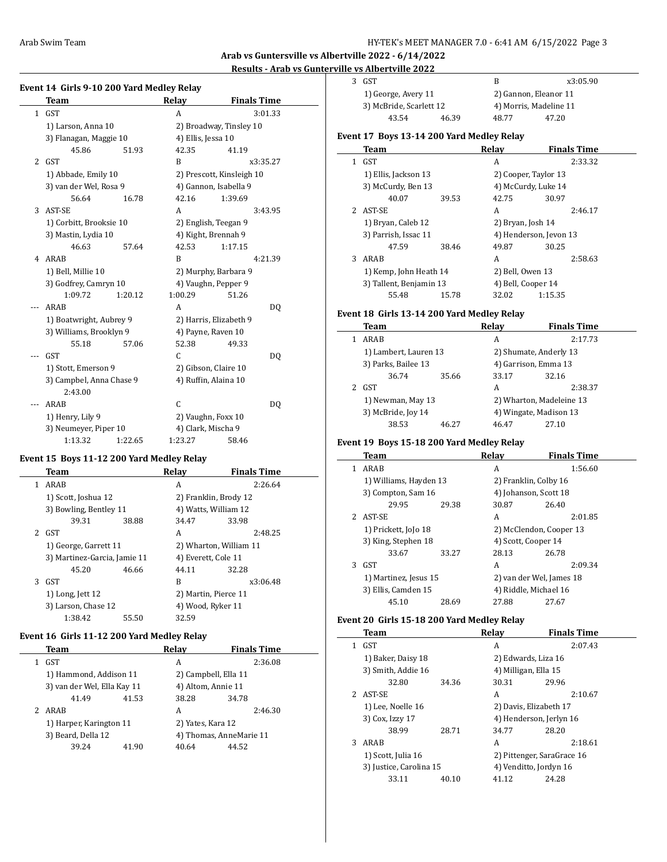$\overline{a}$ 

**Arab vs Guntersville vs Albertville 2022 - 6/14/2022**

### **Results - Arab vs Gunterville vs Albertville 2022**

 $\overline{\phantom{a}}$ 

 $\overline{a}$ 

### **Event 14 Girls 9-10 200 Yard Medley Relay**

|                | Team                     |         | Relay              | <b>Finals Time</b>        |    |
|----------------|--------------------------|---------|--------------------|---------------------------|----|
| $\mathbf{1}$   | <b>GST</b>               |         | A                  | 3:01.33                   |    |
|                | 1) Larson, Anna 10       |         |                    | 2) Broadway, Tinsley 10   |    |
|                | 3) Flanagan, Maggie 10   |         | 4) Ellis, Jessa 10 |                           |    |
|                | 45.86                    | 51.93   | 42.35              | 41.19                     |    |
| $\overline{c}$ | <b>GST</b>               |         | B                  | x3:35.27                  |    |
|                | 1) Abbade, Emily 10      |         |                    | 2) Prescott, Kinsleigh 10 |    |
|                | 3) van der Wel, Rosa 9   |         |                    | 4) Gannon, Isabella 9     |    |
|                | 56.64                    | 16.78   | 42.16              | 1:39.69                   |    |
| 3              | AST-SE                   |         | A                  | 3:43.95                   |    |
|                | 1) Corbitt, Brooksie 10  |         |                    | 2) English, Teegan 9      |    |
|                | 3) Mastin, Lydia 10      |         |                    | 4) Kight, Brennah 9       |    |
|                | 46.63                    | 57.64   | 42.53              | 1:17.15                   |    |
| 4              | ARAB                     |         | B                  | 4:21.39                   |    |
|                | 1) Bell, Millie 10       |         |                    | 2) Murphy, Barbara 9      |    |
|                | 3) Godfrey, Camryn 10    |         |                    | 4) Vaughn, Pepper 9       |    |
|                | 1:09.72                  | 1:20.12 | 1:00.29            | 51.26                     |    |
|                | ARAB                     |         | A                  |                           | DQ |
|                | 1) Boatwright, Aubrey 9  |         |                    | 2) Harris, Elizabeth 9    |    |
|                | 3) Williams, Brooklyn 9  |         |                    | 4) Payne, Raven 10        |    |
|                | 55.18                    | 57.06   | 52.38              | 49.33                     |    |
|                | <b>GST</b>               |         | C                  |                           | DQ |
|                | 1) Stott, Emerson 9      |         |                    | 2) Gibson, Claire 10      |    |
|                | 3) Campbel, Anna Chase 9 |         |                    | 4) Ruffin, Alaina 10      |    |
|                | 2:43.00                  |         |                    |                           |    |
|                | ARAB                     |         | C                  |                           | DQ |
|                | 1) Henry, Lily 9         |         |                    | 2) Vaughn, Foxx 10        |    |
|                | 3) Neumeyer, Piper 10    |         | 4) Clark, Mischa 9 |                           |    |
|                | 1:13.32                  | 1:22.65 | 1:23.27            | 58.46                     |    |

## **Event 15 Boys 11-12 200 Yard Medley Relay**

|   | Team                         |       | Relav                  | <b>Finals Time</b> |
|---|------------------------------|-------|------------------------|--------------------|
| 1 | ARAB                         |       | A                      | 2:26.64            |
|   | 1) Scott, Joshua 12          |       | 2) Franklin, Brody 12  |                    |
|   | 3) Bowling, Bentley 11       |       | 4) Watts, William 12   |                    |
|   | 39.31                        | 38.88 | 34.47                  | 33.98              |
|   | 2 GST                        |       | A                      | 2:48.25            |
|   | 1) George, Garrett 11        |       | 2) Wharton, William 11 |                    |
|   | 3) Martinez-Garcia, Jamie 11 |       | 4) Everett, Cole 11    |                    |
|   | 45.20                        | 46.66 | 44.11                  | 32.28              |
| 3 | GST                          |       | B                      | x3:06.48           |
|   | 1) Long, Jett 12             |       | 2) Martin, Pierce 11   |                    |
|   | 3) Larson, Chase 12          |       | 4) Wood, Ryker 11      |                    |
|   | 1:38.42                      | 55.50 | 32.59                  |                    |

### **Event 16 Girls 11-12 200 Yard Medley Relay**

|   | Team                        |       | Relay                | <b>Finals Time</b>      |
|---|-----------------------------|-------|----------------------|-------------------------|
|   | <b>GST</b>                  |       | А                    | 2:36.08                 |
|   | 1) Hammond, Addison 11      |       | 2) Campbell, Ella 11 |                         |
|   | 3) van der Wel, Ella Kay 11 |       | 4) Altom, Annie 11   |                         |
|   | 41.49                       | 41.53 | 38.28                | 34.78                   |
| 2 | ARAB                        |       | A                    | 2:46.30                 |
|   | 1) Harper, Karington 11     |       | 2) Yates, Kara 12    |                         |
|   | 3) Beard, Della 12          |       |                      | 4) Thomas, AnneMarie 11 |
|   | 39.24                       | 41.90 | 40.64                | 44.52                   |
|   |                             |       |                      |                         |

| 3 GST                   |       | в                      | x3:05.90 |
|-------------------------|-------|------------------------|----------|
| 1) George, Avery 11     |       | 2) Gannon, Eleanor 11  |          |
| 3) McBride, Scarlett 12 |       | 4) Morris, Madeline 11 |          |
| 43.54                   | 46.39 | 48.77                  | 47.20    |
|                         |       |                        |          |

## **Event 17 Boys 13-14 200 Yard Medley Relay**

|   | Team                    |       | Relay                  | <b>Finals Time</b> |
|---|-------------------------|-------|------------------------|--------------------|
| 1 | GST                     |       | A                      | 2:33.32            |
|   | 1) Ellis, Jackson 13    |       | 2) Cooper, Taylor 13   |                    |
|   | 3) McCurdy, Ben 13      |       | 4) McCurdy, Luke 14    |                    |
|   | 40.07                   | 39.53 | 42.75                  | 30.97              |
|   | 2 AST-SE                |       | A                      | 2:46.17            |
|   | 1) Bryan, Caleb 12      |       | 2) Bryan, Josh 14      |                    |
|   | 3) Parrish, Issac 11    |       | 4) Henderson, Jevon 13 |                    |
|   | 47.59                   | 38.46 | 49.87                  | 30.25              |
| 3 | ARAB                    |       | A                      | 2:58.63            |
|   | 1) Kemp, John Heath 14  |       | 2) Bell, Owen 13       |                    |
|   | 3) Tallent, Benjamin 13 |       | 4) Bell, Cooper 14     |                    |
|   | 55.48                   | 15.78 | 32.02                  | 1:15.35            |

### **Event 18 Girls 13-14 200 Yard Medley Relay**

| Team                  |       | Relay                    | <b>Finals Time</b>     |  |
|-----------------------|-------|--------------------------|------------------------|--|
| ARAB                  |       | А                        | 2:17.73                |  |
| 1) Lambert, Lauren 13 |       | 2) Shumate, Anderly 13   |                        |  |
| 3) Parks, Bailee 13   |       |                          | 4) Garrison, Emma 13   |  |
| 36.74                 | 35.66 | 33.17                    | 32.16                  |  |
| GST                   |       | А                        | 2:38.37                |  |
| 1) Newman, May 13     |       | 2) Wharton, Madeleine 13 |                        |  |
| 3) McBride, Joy 14    |       |                          | 4) Wingate, Madison 13 |  |
| 38.53                 | 46.27 | 46.47                    | 27.10                  |  |

### **Event 19 Boys 15-18 200 Yard Medley Relay**

|   | Team                   |       | Relay                    | <b>Finals Time</b> |
|---|------------------------|-------|--------------------------|--------------------|
|   | ARAB                   |       | A                        | 1:56.60            |
|   | 1) Williams, Hayden 13 |       | 2) Franklin, Colby 16    |                    |
|   | 3) Compton, Sam 16     |       | 4) Johanson, Scott 18    |                    |
|   | 29.95                  | 29.38 | 30.87                    | 26.40              |
| 2 | AST-SE                 |       | A                        | 2:01.85            |
|   | 1) Prickett, JoJo 18   |       | 2) McClendon, Cooper 13  |                    |
|   | 3) King, Stephen 18    |       | 4) Scott, Cooper 14      |                    |
|   | 33.67                  | 33.27 | 28.13                    | 26.78              |
| 3 | GST                    |       | A                        | 2:09.34            |
|   | 1) Martinez, Jesus 15  |       | 2) van der Wel, James 18 |                    |
|   | 3) Ellis, Camden 15    |       | 4) Riddle, Michael 16    |                    |
|   | 45.10                  | 28.69 | 27.88                    | 27.67              |

### **Event 20 Girls 15-18 200 Yard Medley Relay**

|   | Team                    |       | Relay                      | <b>Finals Time</b> |
|---|-------------------------|-------|----------------------------|--------------------|
|   | GST                     |       | A                          | 2:07.43            |
|   | 1) Baker, Daisy 18      |       | 2) Edwards, Liza 16        |                    |
|   | 3) Smith, Addie 16      |       | 4) Milligan, Ella 15       |                    |
|   | 32.80                   | 34.36 | 30.31                      | 29.96              |
|   | AST-SE                  |       | A                          | 2:10.67            |
|   | 1) Lee, Noelle 16       |       | 2) Davis, Elizabeth 17     |                    |
|   | 3) Cox, Izzy 17         |       | 4) Henderson, Jerlyn 16    |                    |
|   | 38.99                   | 28.71 | 34.77                      | 28.20              |
| 3 | ARAB                    |       | A                          | 2:18.61            |
|   | 1) Scott, Julia 16      |       | 2) Pittenger, SaraGrace 16 |                    |
|   | 3) Justice, Carolina 15 |       | 4) Venditto, Jordyn 16     |                    |
|   | 33.11                   | 40.10 | 41.12                      | 24.28              |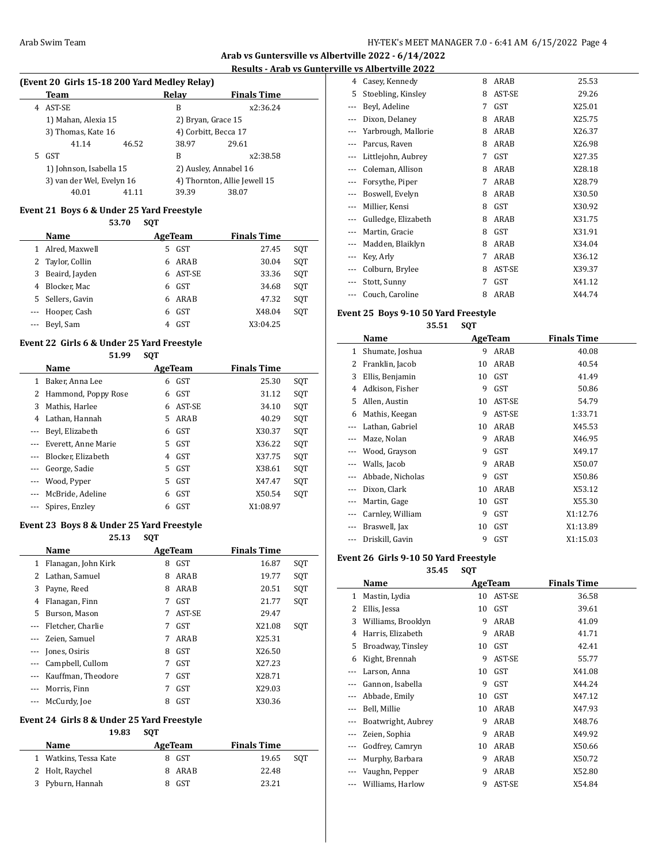## **Arab vs Guntersville vs Albertville 2022 - 6/14/2022**

# **Results - Arab vs Gunterville vs Albertville 2022**

 $\overline{\phantom{a}}$ 

 $\overline{\phantom{a}}$ 

# **(Event 20 Girls 15-18 200 Yard Medley Relay)**

|    | Team                      |       | Relay                | <b>Finals Time</b>           |  |
|----|---------------------------|-------|----------------------|------------------------------|--|
| 4  | AST-SE                    |       | B                    | x2:36.24                     |  |
|    | 1) Mahan, Alexia 15       |       | 2) Bryan, Grace 15   |                              |  |
|    | 3) Thomas, Kate 16        |       | 4) Corbitt, Becca 17 |                              |  |
|    | 41.14                     | 46.52 | 38.97                | 29.61                        |  |
| 5. | GST                       |       | B                    | x2:38.58                     |  |
|    | 1) Johnson, Isabella 15   |       |                      | 2) Ausley, Annabel 16        |  |
|    | 3) van der Wel, Evelyn 16 |       |                      | 4) Thornton, Allie Jewell 15 |  |
|    | 40.01                     | 41.11 | 39.39                | 38.07                        |  |

## **Event 21 Boys 6 & Under 25 Yard Freestyle**

|   |                  | 53.70 | <b>SQT</b> |            |                    |     |
|---|------------------|-------|------------|------------|--------------------|-----|
|   | Name             |       |            | AgeTeam    | <b>Finals Time</b> |     |
| 1 | Alred, Maxwell   |       | 5.         | GST        | 27.45              | SQT |
|   | 2 Taylor, Collin |       | 6          | ARAB       | 30.04              | SQT |
| 3 | Beaird, Jayden   |       | 6          | AST-SE     | 33.36              | SQT |
| 4 | Blocker, Mac     |       | 6          | GST        | 34.68              | SQT |
|   | 5 Sellers, Gavin |       | 6          | ARAB       | 47.32              | SOT |
|   | --- Hooper, Cash |       | 6          | <b>GST</b> | X48.04             | SOT |
|   | --- Beyl, Sam    |       |            | <b>GST</b> | X3:04.25           |     |

### **Event 22 Girls 6 & Under 25 Yard Freestyle 51.99 SQT**

|       | Name                |    | AgeTeam    | <b>Finals Time</b> |     |  |  |
|-------|---------------------|----|------------|--------------------|-----|--|--|
| 1     | Baker, Anna Lee     | 6  | GST        | 25.30              | SQT |  |  |
| 2     | Hammond, Poppy Rose | 6  | GST        | 31.12              | SQT |  |  |
| 3     | Mathis, Harlee      | 6  | AST-SE     | 34.10              | SOT |  |  |
| 4     | Lathan, Hannah      | 5. | ARAB       | 40.29              | SQT |  |  |
|       | Beyl, Elizabeth     | 6  | GST        | X30.37             | SQT |  |  |
|       | Everett, Anne Marie | 5. | GST        | X36.22             | SQT |  |  |
|       | Blocker, Elizabeth  | 4  | GST        | X37.75             | SQT |  |  |
|       | George, Sadie       | 5. | GST        | X38.61             | SQT |  |  |
| $---$ | Wood, Pyper         | 5. | <b>GST</b> | X47.47             | SQT |  |  |
|       | McBride, Adeline    | 6  | <b>GST</b> | X50.54             | SQT |  |  |
|       | Spires, Enzley      | 6  | <b>GST</b> | X1:08.97           |     |  |  |

### **Event 23 Boys 8 & Under 25 Yard Freestyle**

**25.13 SQT**

|          | Name                |   | AgeTeam    | <b>Finals Time</b> |     |  |  |
|----------|---------------------|---|------------|--------------------|-----|--|--|
| 1        | Flanagan, John Kirk | 8 | <b>GST</b> | 16.87              | SQT |  |  |
| 2        | Lathan, Samuel      | 8 | ARAB       | 19.77              | SQT |  |  |
| 3        | Payne, Reed         | 8 | ARAB       | 20.51              | SQT |  |  |
| 4        | Flanagan, Finn      | 7 | GST        | 21.77              | SQT |  |  |
| 5        | Burson, Mason       | 7 | AST-SE     | 29.47              |     |  |  |
|          | Fletcher, Charlie   | 7 | <b>GST</b> | X21.08             | SOT |  |  |
|          | Zeien, Samuel       | 7 | ARAB       | X25.31             |     |  |  |
|          | Jones, Osiris       | 8 | GST        | X26.50             |     |  |  |
| $\cdots$ | Campbell, Cullom    | 7 | GST        | X27.23             |     |  |  |
|          | Kauffman, Theodore  |   | GST        | X28.71             |     |  |  |
|          | Morris, Finn        |   | <b>GST</b> | X29.03             |     |  |  |
|          | McCurdy, Joe        | 8 | <b>GST</b> | X30.36             |     |  |  |

## **Event 24 Girls 8 & Under 25 Yard Freestyle**

| 19.83                 | <b>SOT</b> |                    |
|-----------------------|------------|--------------------|
| <b>Name</b>           | AgeTeam    | <b>Finals Time</b> |
| 1 Watkins, Tessa Kate | GST<br>8   | 19.65<br>SOT       |
| 2 Holt, Raychel       | ARAB<br>8. | 22.48              |
| 3 Pyburn, Hannah      | <b>GST</b> | 23.21              |

|          | ne və Andel tvine 2022 |   |        |        |
|----------|------------------------|---|--------|--------|
| 4        | Casey, Kennedy         | 8 | ARAB   | 25.53  |
| 5        | Stoebling, Kinsley     | 8 | AST-SE | 29.26  |
| $\cdots$ | Beyl, Adeline          | 7 | GST    | X25.01 |
|          | Dixon, Delaney         | 8 | ARAB   | X25.75 |
|          | Yarbrough, Mallorie    | 8 | ARAB   | X26.37 |
|          | Parcus, Raven          | 8 | ARAB   | X26.98 |
|          | Littlejohn, Aubrey     | 7 | GST    | X27.35 |
|          | Coleman, Allison       | 8 | ARAB   | X28.18 |
| $\cdots$ | Forsythe, Piper        | 7 | ARAB   | X28.79 |
|          | Boswell, Evelyn        | 8 | ARAB   | X30.50 |
|          | Millier, Kensi         | 8 | GST    | X30.92 |
|          | Gulledge, Elizabeth    | 8 | ARAB   | X31.75 |
|          | Martin, Gracie         | 8 | GST    | X31.91 |
| $\cdots$ | Madden, Blaiklyn       | 8 | ARAB   | X34.04 |
|          | Key, Arly              | 7 | ARAB   | X36.12 |
|          | Colburn, Brylee        | 8 | AST-SE | X39.37 |
|          | Stott, Sunny           | 7 | GST    | X41.12 |
| ---      | Couch, Caroline        | 8 | ARAB   | X44.74 |
|          |                        |   |        |        |

## **Event 25 Boys 9-10 50 Yard Freestyle**

**35.51 SQT**

|     | Name             |    | AgeTeam | <b>Finals Time</b> |  |
|-----|------------------|----|---------|--------------------|--|
| 1   | Shumate, Joshua  | 9  | ARAB    | 40.08              |  |
| 2   | Franklin, Jacob  | 10 | ARAB    | 40.54              |  |
| 3   | Ellis, Benjamin  | 10 | GST     | 41.49              |  |
| 4   | Adkison, Fisher  | 9  | GST     | 50.86              |  |
| 5   | Allen, Austin    | 10 | AST-SE  | 54.79              |  |
| 6   | Mathis, Keegan   | 9  | AST-SE  | 1:33.71            |  |
|     | Lathan, Gabriel  | 10 | ARAB    | X45.53             |  |
|     | Maze, Nolan      | 9  | ARAB    | X46.95             |  |
|     | Wood, Grayson    | 9  | GST     | X49.17             |  |
|     | Walls, Jacob     | 9  | ARAB    | X50.07             |  |
|     | Abbade, Nicholas | 9  | GST     | X50.86             |  |
|     | Dixon, Clark     | 10 | ARAB    | X53.12             |  |
|     | Martin, Gage     | 10 | GST     | X55.30             |  |
|     | Carnley, William | 9  | GST     | X1:12.76           |  |
|     | Braswell, Jax    | 10 | GST     | X1:13.89           |  |
| --- | Driskill, Gavin  | 9  | GST     | X1:15.03           |  |

## **Event 26 Girls 9-10 50 Yard Freestyle**

**35.45 SQT**

|     | Name               |    | AgeTeam | <b>Finals Time</b> |
|-----|--------------------|----|---------|--------------------|
| 1   | Mastin, Lydia      | 10 | AST-SE  | 36.58              |
| 2   | Ellis, Jessa       | 10 | GST     | 39.61              |
| 3   | Williams, Brooklyn | 9  | ARAB    | 41.09              |
| 4   | Harris, Elizabeth  | 9  | ARAB    | 41.71              |
| 5   | Broadway, Tinsley  | 10 | GST     | 42.41              |
| 6   | Kight, Brennah     | 9  | AST-SE  | 55.77              |
| --- | Larson, Anna       | 10 | GST     | X41.08             |
|     | Gannon, Isabella   | 9  | GST     | X44.24             |
|     | Abbade, Emily      | 10 | GST     | X47.12             |
|     | Bell, Millie       | 10 | ARAB    | X47.93             |
|     | Boatwright, Aubrey | 9  | ARAB    | X48.76             |
|     | Zeien, Sophia      | 9  | ARAB    | X49.92             |
|     | Godfrey, Camryn    | 10 | ARAB    | X50.66             |
|     | Murphy, Barbara    | 9  | ARAB    | X50.72             |
|     | Vaughn, Pepper     | 9  | ARAB    | X52.80             |
|     | Williams, Harlow   | 9  | AST-SE  | X54.84             |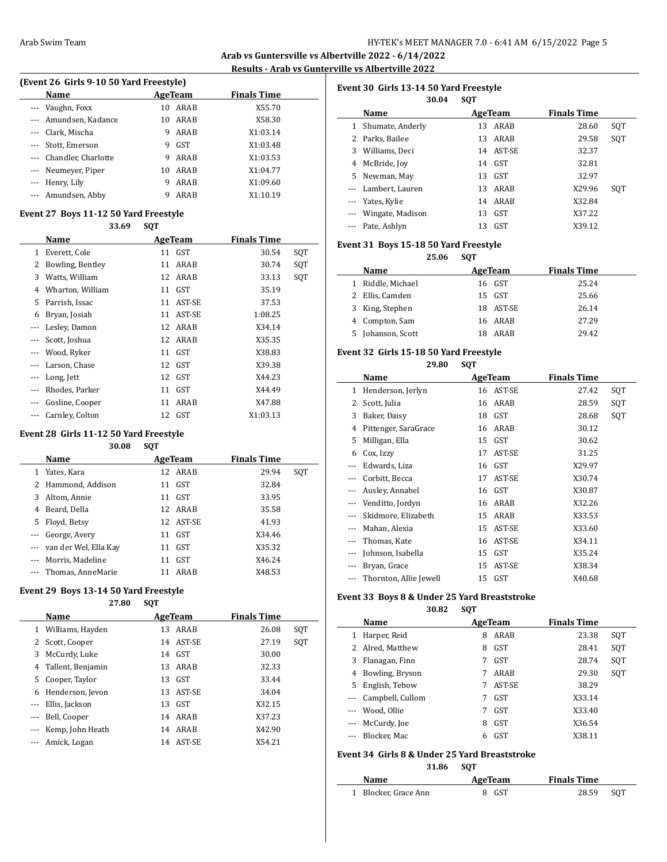$\overline{a}$ 

**Arab vs Guntersville vs Albertville 2022 - 6/14/2022 Results - Arab vs Gunterville vs Albertville 2022**

l.

| (Event 26 Girls 9-10 50 Yard Freestyle) |                         |    |         |                    |  |  |  |
|-----------------------------------------|-------------------------|----|---------|--------------------|--|--|--|
|                                         | Name                    |    | AgeTeam | <b>Finals Time</b> |  |  |  |
|                                         | --- Vaughn, Foxx        | 10 | ARAB    | X55.70             |  |  |  |
|                                         | --- Amundsen, Kadance   | 10 | ARAB    | X58.30             |  |  |  |
|                                         | --- Clark, Mischa       | 9  | ARAB    | X1:03.14           |  |  |  |
| ---                                     | Stott, Emerson          | 9  | GST     | X1:03.48           |  |  |  |
|                                         | --- Chandler, Charlotte | 9  | ARAB    | X1:03.53           |  |  |  |
|                                         | --- Neumeyer, Piper     | 10 | ARAB    | X1:04.77           |  |  |  |
|                                         | --- Henry, Lily         | 9  | ARAB    | X1:09.60           |  |  |  |
|                                         | --- Amundsen, Abby      | 9  | ARAB    | X1:10.19           |  |  |  |
|                                         |                         |    |         |                    |  |  |  |

### **Event 27 Boys 11-12 50 Yard Freestyle**

|   | 33.69            | <b>SQT</b> |                |                    |     |
|---|------------------|------------|----------------|--------------------|-----|
|   | Name             |            | <b>AgeTeam</b> | <b>Finals Time</b> |     |
| 1 | Everett, Cole    |            | 11 GST         | 30.54              | SQT |
| 2 | Bowling, Bentley | 11         | ARAB           | 30.74              | SQT |
| 3 | Watts, William   |            | 12 ARAB        | 33.13              | SQT |
| 4 | Wharton, William | 11         | GST            | 35.19              |     |
| 5 | Parrish, Issac   | 11         | AST-SE         | 37.53              |     |
| 6 | Bryan, Josiah    | 11         | AST-SE         | 1:08.25            |     |
|   | Lesley, Damon    | 12         | ARAB           | X34.14             |     |
|   | Scott, Joshua    |            | 12 ARAB        | X35.35             |     |
|   | Wood, Ryker      |            | 11 GST         | X38.83             |     |
|   | Larson, Chase    |            | 12 GST         | X39.38             |     |
|   | Long, Jett       |            | 12 GST         | X44.23             |     |
|   | Rhodes, Parker   |            | 11 GST         | X44.49             |     |
|   | Gosline, Cooper  | 11         | ARAB           | X47.88             |     |
|   | Carnley, Colton  |            | 12 GST         | X1:03.13           |     |

#### **Event 28 Girls 11-12 50 Yard Freestyle**

|                   | 30.08                     | <b>SQT</b> |            |                    |     |
|-------------------|---------------------------|------------|------------|--------------------|-----|
|                   | <b>Name</b>               |            | AgeTeam    | <b>Finals Time</b> |     |
| 1                 | Yates, Kara               |            | 12 ARAB    | 29.94              | SOT |
|                   | 2 Hammond, Addison        | 11         | GST        | 32.84              |     |
| 3                 | Altom, Annie              | 11         | <b>GST</b> | 33.95              |     |
| 4                 | Beard, Della              |            | 12 ARAB    | 35.58              |     |
| 5.                | Floyd, Betsy              |            | 12 AST-SE  | 41.93              |     |
| $\qquad \qquad -$ | George, Avery             | 11         | <b>GST</b> | X34.46             |     |
|                   | --- van der Wel, Ella Kay | 11         | <b>GST</b> | X35.32             |     |
|                   | Morris, Madeline          | 11         | <b>GST</b> | X46.24             |     |
|                   | Thomas, AnneMarie         | 11         | ARAB       | X48.53             |     |
|                   |                           |            |            |                    |     |

#### **Event 29 Boys 13-14 50 Yard Freestyle 27.80 SQT**

|          | .<br>UV⊥            |    |           |                    |     |  |
|----------|---------------------|----|-----------|--------------------|-----|--|
|          | Name                |    | AgeTeam   | <b>Finals Time</b> |     |  |
|          | 1 Williams, Hayden  | 13 | ARAB      | 26.08              | SQT |  |
|          | 2 Scott, Cooper     |    | 14 AST-SE | 27.19              | SQT |  |
| 3        | McCurdy, Luke       |    | 14 GST    | 30.00              |     |  |
|          | 4 Tallent, Benjamin |    | 13 ARAB   | 32.33              |     |  |
| 5.       | Cooper, Taylor      | 13 | GST       | 33.44              |     |  |
| 6        | Henderson, Jevon    |    | 13 AST-SE | 34.04              |     |  |
| $\cdots$ | Ellis, Jackson      | 13 | GST       | X32.15             |     |  |
| $\cdots$ | Bell, Cooper        |    | 14 ARAB   | X37.23             |     |  |
|          | Kemp, John Heath    |    | 14 ARAB   | X42.90             |     |  |
|          | Amick, Logan        |    | 14 AST-SE | X54.21             |     |  |

| Event 30  Girls 13-14 50 Yard Freestyle |                     |            |         |                    |     |  |  |
|-----------------------------------------|---------------------|------------|---------|--------------------|-----|--|--|
|                                         | 30.04               | <b>SQT</b> |         |                    |     |  |  |
|                                         | Name                |            | AgeTeam | <b>Finals Time</b> |     |  |  |
|                                         | Shumate, Anderly    | 13         | ARAB    | 28.60              | SQT |  |  |
| 2                                       | Parks, Bailee       | 13         | ARAB    | 29.58              | SQT |  |  |
| 3                                       | Williams, Deci      | 14         | AST-SE  | 32.37              |     |  |  |
| 4                                       | McBride, Joy        |            | 14 GST  | 32.81              |     |  |  |
| 5.                                      | Newman, May         | 13         | GST     | 32.97              |     |  |  |
|                                         | --- Lambert, Lauren | 13         | ARAB    | X29.96             | SOT |  |  |
| $\cdots$                                | Yates, Kylie        | 14         | ARAB    | X32.84             |     |  |  |
|                                         | Wingate, Madison    | 13         | GST     | X37.22             |     |  |  |
|                                         | Pate, Ashlyn        | 13         | GST     | X39.12             |     |  |  |

### **Event 31 Boys 15-18 50 Yard Freestyle**

|   | 25.06             | <b>SOT</b> |           |                    |  |
|---|-------------------|------------|-----------|--------------------|--|
|   | Name              |            | AgeTeam   | <b>Finals Time</b> |  |
| 1 | Riddle, Michael   |            | 16 GST    | 25.24              |  |
|   | 2 Ellis, Camden   |            | 15 GST    | 25.66              |  |
|   | 3 King, Stephen   |            | 18 AST-SE | 26.14              |  |
|   | 4 Compton, Sam    |            | 16 ARAB   | 27.29              |  |
|   | 5 Johanson, Scott | 18         | ARAB      | 29.42              |  |

### **Event 32 Girls 15-18 50 Yard Freestyle**

**29.80 SQT**

| Name     |                        |    | AgeTeam | Finals Time |     |
|----------|------------------------|----|---------|-------------|-----|
| 1        | Henderson, Jerlyn      | 16 | AST-SE  | 27.42       | SQT |
| 2        | Scott, Julia           | 16 | ARAB    | 28.59       | SQT |
| 3        | Baker, Daisy           | 18 | GST     | 28.68       | SQT |
| 4        | Pittenger, SaraGrace   | 16 | ARAB    | 30.12       |     |
| 5        | Milligan, Ella         | 15 | GST     | 30.62       |     |
| 6        | Cox, Izzy              | 17 | AST-SE  | 31.25       |     |
|          | Edwards, Liza          | 16 | GST     | X29.97      |     |
|          | Corbitt, Becca         | 17 | AST-SE  | X30.74      |     |
|          | Ausley, Annabel        | 16 | GST     | X30.87      |     |
|          | Venditto, Jordyn       | 16 | ARAB    | X32.26      |     |
|          | Skidmore, Elizabeth    | 15 | ARAB    | X33.53      |     |
| $\cdots$ | Mahan, Alexia          | 15 | AST-SE  | X33.60      |     |
|          | Thomas, Kate           | 16 | AST-SE  | X34.11      |     |
|          | Johnson, Isabella      | 15 | GST     | X35.24      |     |
|          | Bryan, Grace           | 15 | AST-SE  | X38.34      |     |
| ---      | Thornton, Allie Jewell | 15 | GST     | X40.68      |     |

### **Event 33 Boys 8 & Under 25 Yard Breaststroke**

**30.82 SQT**

|          | Name                 |   | AgeTeam    | <b>Finals Time</b> |     |
|----------|----------------------|---|------------|--------------------|-----|
| 1        | Harper, Reid         | 8 | ARAB       | 23.38              | SQT |
|          | 2 Alred, Matthew     | 8 | GST        | 28.41              | SQT |
| 3        | Flanagan, Finn       | 7 | <b>GST</b> | 28.74              | SQT |
| 4        | Bowling, Bryson      | 7 | ARAB       | 29.30              | SOT |
|          | 5 English, Tebow     |   | AST-SE     | 38.29              |     |
|          | --- Campbell, Cullom | 7 | GST        | X33.14             |     |
|          | --- Wood, Ollie      | 7 | <b>GST</b> | X33.40             |     |
| $\cdots$ | McCurdy, Joe         | 8 | GST        | X36.54             |     |
|          | Blocker. Mac         | 6 | GST        | X38.11             |     |

## **Event 34 Girls 8 & Under 25 Yard Breaststroke**

**31.86 SQT**

| <b>Name</b>          | AgeTeam | <b>Finals Time</b> |     |  |
|----------------------|---------|--------------------|-----|--|
| 1 Blocker, Grace Ann | 8 GST   | 28.59              | SOT |  |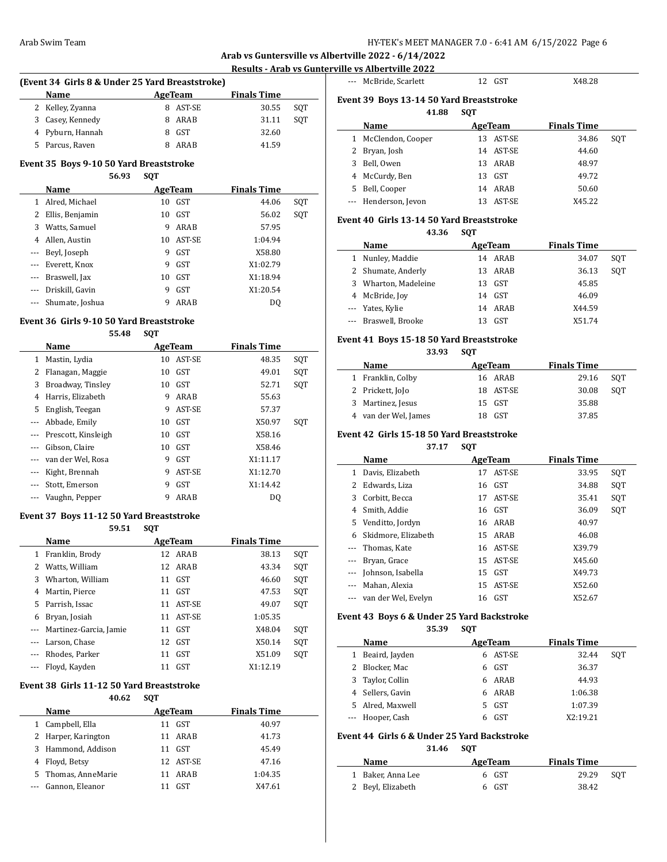**Arab vs Guntersville vs Albertville 2022 - 6/14/2022**

### **Results - Arab vs Gunterville vs Albertville 2022**

 $\overline{a}$ 

 $\frac{1}{2}$ 

## **(Event 34 Girls 8 & Under 25 Yard Breaststroke) Name Age Team Finals Time**

| 2 Kelley, Zyanna | 8 AST-SE | 30.55 | SOT |
|------------------|----------|-------|-----|
| 3 Casey, Kennedy | 8 ARAB   | 31.11 | SOT |
| 4 Pyburn, Hannah | 8 GST    | 32.60 |     |
| 5 Parcus, Raven  | 8 ARAB   | 41.59 |     |

## **Event 35 Boys 9-10 50 Yard Breaststroke**

|          |                 | 56.93 | <b>SQT</b> |            |                    |     |
|----------|-----------------|-------|------------|------------|--------------------|-----|
|          | Name            |       |            | AgeTeam    | <b>Finals Time</b> |     |
|          | Alred, Michael  |       | 10         | <b>GST</b> | 44.06              | SQT |
|          | Ellis, Benjamin |       | 10         | <b>GST</b> | 56.02              | SQT |
| 3        | Watts, Samuel   |       | 9          | ARAB       | 57.95              |     |
| 4        | Allen, Austin   |       | 10         | AST-SE     | 1:04.94            |     |
|          | Beyl, Joseph    |       | 9          | <b>GST</b> | X58.80             |     |
| $\cdots$ | Everett, Knox   |       | 9          | <b>GST</b> | X1:02.79           |     |
|          | Braswell, Jax   |       | 10         | <b>GST</b> | X1:18.94           |     |
|          | Driskill, Gavin |       | 9          | <b>GST</b> | X1:20.54           |     |
|          | Shumate, Joshua |       | 9          | ARAB       | DO                 |     |

#### **Event 36 Girls 9-10 50 Yard Breaststroke**

**55.48 SQT**

|       | Name                |    | AgeTeam    | <b>Finals Time</b> |     |
|-------|---------------------|----|------------|--------------------|-----|
| 1     | Mastin, Lydia       | 10 | AST-SE     | 48.35              | SQT |
|       | Flanagan, Maggie    | 10 | <b>GST</b> | 49.01              | SQT |
| 3     | Broadway, Tinsley   | 10 | <b>GST</b> | 52.71              | SOT |
| 4     | Harris, Elizabeth   | 9  | ARAB       | 55.63              |     |
| 5.    | English, Teegan     | 9  | AST-SE     | 57.37              |     |
|       | Abbade, Emily       | 10 | <b>GST</b> | X50.97             | SQT |
| $---$ | Prescott, Kinsleigh | 10 | <b>GST</b> | X58.16             |     |
|       | Gibson, Claire      | 10 | <b>GST</b> | X58.46             |     |
|       | van der Wel, Rosa   | 9  | <b>GST</b> | X1:11.17           |     |
|       | Kight, Brennah      | 9  | AST-SE     | X1:12.70           |     |
|       | Stott, Emerson      | 9  | <b>GST</b> | X1:14.42           |     |
|       | Vaughn, Pepper      | 9  | ARAB       | D <sub>0</sub>     |     |

#### **Event 37 Boys 11-12 50 Yard Breaststroke**

**59.51 SQT**

|          | 59.51                  | <b>SVI</b> |            |                    |     |
|----------|------------------------|------------|------------|--------------------|-----|
|          | Name                   |            | AgeTeam    | <b>Finals Time</b> |     |
| 1        | Franklin, Brody        |            | 12 ARAB    | 38.13              | SQT |
| 2        | Watts, William         |            | 12 ARAB    | 43.34              | SQT |
| 3        | Wharton, William       | 11         | <b>GST</b> | 46.60              | SQT |
| 4        | Martin, Pierce         | 11         | <b>GST</b> | 47.53              | SQT |
| 5        | Parrish, Issac         | 11         | AST-SE     | 49.07              | SQT |
| 6        | Bryan, Josiah          | 11         | AST-SE     | 1:05.35            |     |
| $\cdots$ | Martinez-Garcia, Jamie | 11         | <b>GST</b> | X48.04             | SQT |
| $\cdots$ | Larson, Chase          | 12         | <b>GST</b> | X50.14             | SQT |
|          | Rhodes, Parker         | 11         | <b>GST</b> | X51.09             | SQT |
|          | Floyd, Kayden          | 11         | GST        | X1:12.19           |     |

#### **Event 38 Girls 11-12 50 Yard Breaststroke**

|    | 40.62               | <b>SOT</b> |            |                    |  |
|----|---------------------|------------|------------|--------------------|--|
|    | <b>Name</b>         |            | AgeTeam    | <b>Finals Time</b> |  |
|    | Campbell, Ella      | 11         | <b>GST</b> | 40.97              |  |
|    | 2 Harper, Karington | 11         | ARAB       | 41.73              |  |
| 3. | Hammond, Addison    | 11         | <b>GST</b> | 45.49              |  |
|    | Floyd, Betsy        |            | 12 AST-SE  | 47.16              |  |
| 5. | Thomas, AnneMarie   | 11         | ARAB       | 1:04.35            |  |
|    | Gannon, Eleanor     |            | <b>GST</b> | X47.61             |  |

|   | --- McBride, Scarlett                    | 12 GST       | X48.28             |     |
|---|------------------------------------------|--------------|--------------------|-----|
|   | Event 39 Boys 13-14 50 Yard Breaststroke |              |                    |     |
|   | 41.88                                    | <b>SOT</b>   |                    |     |
|   | Name                                     | AgeTeam      | <b>Finals Time</b> |     |
| 1 | McClendon, Cooper                        | AST-SE<br>13 | 34.86              | SOT |
| 2 | Bryan, Josh                              | AST-SE<br>14 | 44.60              |     |
| 3 | Bell, Owen                               | ARAB<br>13   | 48.97              |     |
|   | McCurdv. Ben                             | GST<br>13    | 49.72              |     |

5 Bell, Cooper 14 ARAB 50.60 --- Henderson, Jevon 13 AST-SE X45.22

### **Event 40 Girls 13-14 50 Yard Breaststroke**

**43.36 SQT**

|   | Name                 |     | AgeTeam | <b>Finals Time</b> |     |
|---|----------------------|-----|---------|--------------------|-----|
| 1 | Nunley, Maddie       | 14  | ARAB    | 34.07              | SOT |
|   | 2 Shumate, Anderly   |     | 13 ARAB | 36.13              | SOT |
|   | 3 Wharton, Madeleine | 13. | GST     | 45.85              |     |
|   | 4 McBride, Joy       |     | 14 GST  | 46.09              |     |
|   | --- Yates, Kylie     |     | 14 ARAB | X44.59             |     |
|   | --- Braswell, Brooke |     | GST     | X51.74             |     |

#### **Event 41 Boys 15-18 50 Yard Breaststroke**

**33.93 SQT**

| Name                 | AgeTeam   | <b>Finals Time</b> |     |
|----------------------|-----------|--------------------|-----|
| 1 Franklin, Colby    | 16 ARAB   | 29.16              | SOT |
| 2 Prickett, JoJo     | 18 AST-SE | 30.08              | SOT |
| 3 Martinez, Jesus    | 15 GST    | 35.88              |     |
| 4 van der Wel, James | GST       | 37.85              |     |

### **Event 42 Girls 15-18 50 Yard Breaststroke**

#### **37.17 SQT**

|                          | Name                |    | AgeTeam   | <b>Finals Time</b> |     |
|--------------------------|---------------------|----|-----------|--------------------|-----|
| 1                        | Davis, Elizabeth    | 17 | AST-SE    | 33.95              | SQT |
| 2                        | Edwards, Liza       | 16 | GST       | 34.88              | SQT |
| 3                        | Corbitt, Becca      | 17 | AST-SE    | 35.41              | SQT |
| 4                        | Smith, Addie        |    | 16 GST    | 36.09              | SQT |
| 5.                       | Venditto, Jordyn    |    | 16 ARAB   | 40.97              |     |
| 6                        | Skidmore, Elizabeth |    | 15 ARAB   | 46.08              |     |
| $\cdots$                 | Thomas, Kate        |    | 16 AST-SE | X39.79             |     |
| ---                      | Bryan, Grace        |    | 15 AST-SE | X45.60             |     |
| $\overline{\phantom{a}}$ | Johnson, Isabella   |    | 15 GST    | X49.73             |     |
| $\cdots$                 | Mahan, Alexia       | 15 | AST-SE    | X52.60             |     |
|                          | van der Wel, Evelyn | 16 | GST       | X52.67             |     |

### **Event 43 Boys 6 & Under 25 Yard Backstroke**

**35.39 SQT**

|   | Name             | AgeTeam |          | <b>Finals Time</b> |     |
|---|------------------|---------|----------|--------------------|-----|
| 1 | Beaird, Jayden   |         | 6 AST-SE | 32.44              | SOT |
|   | 2 Blocker, Mac   | 6       | GST      | 36.37              |     |
| 3 | Taylor, Collin   |         | 6 ARAB   | 44.93              |     |
|   | 4 Sellers, Gavin |         | 6 ARAB   | 1:06.38            |     |
|   | 5 Alred. Maxwell | 5.      | GST      | 1:07.39            |     |
|   | --- Hooper, Cash | 6       | GST      | X2:19.21           |     |

## **Event 44 Girls 6 & Under 25 Yard Backstroke**

| Name              | AgeTeam | <b>Finals Time</b> |  |
|-------------------|---------|--------------------|--|
| 1 Baker, Anna Lee | 6 GST   | 29.29<br>SOT       |  |
| 2 Beyl, Elizabeth | 6 GST   | 38.42              |  |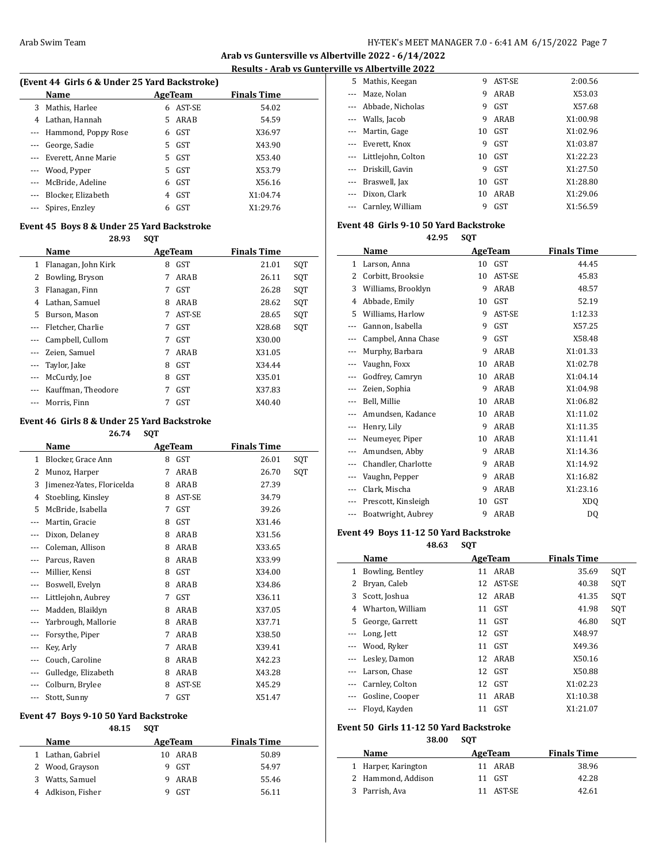**Arab vs Guntersville vs Albertville 2022 - 6/14/2022 Results - Arab vs Gunterville vs Albertville 2022**

 $\overline{a}$ 

 $\overline{a}$ 

 $\overline{\phantom{a}}$ 

### **(Event 44 Girls 6 & Under 25 Yard Backstroke)**

| $\mu$ and $\mu$ and $\sigma$ and $\sigma$ and $\sigma$ and $\sigma$ and $\sigma$ |                         |    |            |                    |  |  |  |
|----------------------------------------------------------------------------------|-------------------------|----|------------|--------------------|--|--|--|
|                                                                                  | Name                    |    | AgeTeam    | <b>Finals Time</b> |  |  |  |
|                                                                                  | 3 Mathis, Harlee        | 6  | AST-SE     | 54.02              |  |  |  |
| 4                                                                                | Lathan, Hannah          | 5. | ARAB       | 54.59              |  |  |  |
|                                                                                  | --- Hammond, Poppy Rose | 6  | GST        | X36.97             |  |  |  |
|                                                                                  | George, Sadie           | 5. | GST        | X43.90             |  |  |  |
|                                                                                  | --- Everett, Anne Marie | 5. | GST        | X53.40             |  |  |  |
|                                                                                  | --- Wood, Pyper         | 5. | GST        | X53.79             |  |  |  |
|                                                                                  | --- McBride, Adeline    | 6  | GST        | X56.16             |  |  |  |
|                                                                                  | --- Blocker, Elizabeth  | 4  | GST        | X1:04.74           |  |  |  |
| $\cdots$                                                                         | Spires, Enzley          | 6  | <b>GST</b> | X1:29.76           |  |  |  |
|                                                                                  |                         |    |            |                    |  |  |  |

#### **Event 45 Boys 8 & Under 25 Yard Backstroke**

**28.93 SQT**

|          | Name                  | AgeTeam |            | <b>Finals Time</b> |     |
|----------|-----------------------|---------|------------|--------------------|-----|
|          | 1 Flanagan, John Kirk | 8       | GST        | 21.01              | SQT |
| 2        | Bowling, Bryson       | 7       | ARAB       | 26.11              | SQT |
| 3        | Flanagan, Finn        | 7       | <b>GST</b> | 26.28              | SOT |
| 4        | Lathan, Samuel        | 8       | ARAB       | 28.62              | SQT |
| 5.       | Burson, Mason         | 7       | AST-SE     | 28.65              | SOT |
|          | Fletcher, Charlie     | 7       | <b>GST</b> | X28.68             | SQT |
|          | Campbell, Cullom      | 7       | <b>GST</b> | X30.00             |     |
|          | Zeien, Samuel         | 7       | ARAB       | X31.05             |     |
| $\cdots$ | Taylor, Jake          | 8       | <b>GST</b> | X34.44             |     |
| $\cdots$ | McCurdy, Joe          | 8       | <b>GST</b> | X35.01             |     |
|          | Kauffman, Theodore    | 7       | <b>GST</b> | X37.83             |     |
|          | Morris, Finn          |         | <b>GST</b> | X40.40             |     |

### **Event 46 Girls 8 & Under 25 Yard Backstroke**

|              | 26.74                     | SQT |                |                    |     |
|--------------|---------------------------|-----|----------------|--------------------|-----|
|              | Name                      |     | <b>AgeTeam</b> | <b>Finals Time</b> |     |
| $\mathbf{1}$ | Blocker, Grace Ann        | 8   | <b>GST</b>     | 26.01              | SQT |
| 2            | Munoz, Harper             | 7   | ARAB           | 26.70              | SQT |
| 3            | Jimenez-Yates, Floricelda | 8   | ARAB           | 27.39              |     |
| 4            | Stoebling, Kinsley        | 8   | AST-SE         | 34.79              |     |
| 5            | McBride, Isabella         | 7   | GST            | 39.26              |     |
|              | Martin, Gracie            | 8   | GST            | X31.46             |     |
|              | Dixon, Delaney            | 8   | ARAB           | X31.56             |     |
|              | Coleman, Allison          | 8   | ARAB           | X33.65             |     |
|              | Parcus, Raven             | 8   | ARAB           | X33.99             |     |
| $\cdots$     | Millier, Kensi            | 8   | GST            | X34.00             |     |
|              | Boswell, Evelyn           | 8   | ARAB           | X34.86             |     |
|              | Littlejohn, Aubrey        | 7   | GST            | X36.11             |     |
| ---          | Madden, Blaiklyn          | 8   | ARAB           | X37.05             |     |
|              | Yarbrough, Mallorie       | 8   | ARAB           | X37.71             |     |
|              | Forsythe, Piper           | 7   | ARAB           | X38.50             |     |
|              | Key, Arly                 | 7   | ARAB           | X39.41             |     |
|              | Couch, Caroline           | 8   | ARAB           | X42.23             |     |
|              | Gulledge, Elizabeth       | 8   | ARAB           | X43.28             |     |
|              | Colburn, Brylee           | 8   | AST-SE         | X45.29             |     |
| ---          | Stott, Sunny              | 7   | GST            | X51.47             |     |

### **Event 47 Boys 9-10 50 Yard Backstroke**

### **48.15 SQT**

| <b>Name</b>        | AgeTeam          | <b>Finals Time</b> |
|--------------------|------------------|--------------------|
| 1 Lathan, Gabriel  | ARAB<br>10       | 50.89              |
| 2 Wood, Grayson    | <b>GST</b><br>q. | 54.97              |
| Watts, Samuel<br>3 | ARAB<br><b>Q</b> | 55.46              |
| 4 Adkison, Fisher  | <b>GST</b>       | 56.11              |
|                    |                  |                    |

| 5. | Mathis, Keegan         | 9  | AST-SE     | 2:00.56  |
|----|------------------------|----|------------|----------|
|    | Maze, Nolan            | 9  | ARAB       | X53.03   |
|    | --- Abbade, Nicholas   | 9  | <b>GST</b> | X57.68   |
|    | --- Walls, Jacob       | 9  | ARAB       | X1:00.98 |
|    | --- Martin, Gage       | 10 | GST        | X1:02.96 |
|    | --- Everett, Knox      | 9  | <b>GST</b> | X1:03.87 |
|    | --- Littlejohn, Colton | 10 | GST        | X1:22.23 |
|    | --- Driskill, Gavin    | 9  | <b>GST</b> | X1:27.50 |
|    | --- Braswell, Jax      | 10 | GST        | X1:28.80 |
|    | Dixon, Clark           | 10 | ARAB       | X1:29.06 |
|    | Carnley, William       | 9  | GST        | X1:56.59 |
|    |                        |    |            |          |

### **Event 48 Girls 9-10 50 Yard Backstroke**

**42.95 SQT**

|     | <b>Name</b>         |    | <b>AgeTeam</b> | <b>Finals Time</b> |  |
|-----|---------------------|----|----------------|--------------------|--|
| 1   | Larson, Anna        | 10 | GST            | 44.45              |  |
| 2   | Corbitt, Brooksie   | 10 | AST-SE         | 45.83              |  |
| 3   | Williams, Brooklyn  | 9  | ARAB           | 48.57              |  |
| 4   | Abbade, Emily       | 10 | GST            | 52.19              |  |
| 5   | Williams, Harlow    | 9  | AST-SE         | 1:12.33            |  |
| --- | Gannon, Isabella    | 9  | GST            | X57.25             |  |
|     | Campbel, Anna Chase | 9  | GST            | X58.48             |  |
|     | Murphy, Barbara     | 9  | ARAB           | X1:01.33           |  |
|     | Vaughn, Foxx        | 10 | ARAB           | X1:02.78           |  |
|     | Godfrey, Camryn     | 10 | ARAB           | X1:04.14           |  |
|     | Zeien, Sophia       | 9  | ARAB           | X1:04.98           |  |
|     | Bell, Millie        | 10 | ARAB           | X1:06.82           |  |
|     | Amundsen, Kadance   | 10 | ARAB           | X1:11.02           |  |
| --- | Henry, Lily         | 9  | ARAB           | X1:11.35           |  |
| --- | Neumeyer, Piper     | 10 | ARAB           | X1:11.41           |  |
|     | Amundsen, Abby      | 9  | ARAB           | X1:14.36           |  |
|     | Chandler, Charlotte | 9  | ARAB           | X1:14.92           |  |
|     | Vaughn, Pepper      | 9  | ARAB           | X1:16.82           |  |
|     | Clark, Mischa       | 9  | ARAB           | X1:23.16           |  |
|     | Prescott, Kinsleigh | 10 | <b>GST</b>     | <b>XDQ</b>         |  |
| --- | Boatwright, Aubrey  | 9  | ARAB           | DQ                 |  |

## **Event 49 Boys 11-12 50 Yard Backstroke**

**48.63 SQT**

|          | Name             | AgeTeam      | <b>Finals Time</b> |     |
|----------|------------------|--------------|--------------------|-----|
| 1        | Bowling, Bentley | ARAB<br>11   | 35.69              | SQT |
| 2        | Bryan, Caleb     | AST-SE<br>12 | SQT<br>40.38       |     |
| 3        | Scott, Joshua    | ARAB<br>12   | SQT<br>41.35       |     |
| 4        | Wharton, William | GST<br>11    | SQT<br>41.98       |     |
| 5.       | George, Garrett  | GST<br>11    | 46.80              | SQT |
|          | Long, Jett       | 12 GST       | X48.97             |     |
|          | Wood, Ryker      | GST<br>11    | X49.36             |     |
|          | Lesley, Damon    | 12 ARAB      | X50.16             |     |
|          | Larson, Chase    | 12 GST       | X50.88             |     |
| $\cdots$ | Carnley, Colton  | 12 GST       | X1:02.23           |     |
|          | Gosline, Cooper  | ARAB<br>11   | X1:10.38           |     |
| ---      | Floyd, Kayden    | GST<br>11    | X1:21.07           |     |

#### **Event 50 Girls 11-12 50 Yard Backstroke**

**38.00 SQT**

| <b>Name</b>         | AgeTeam   | <b>Finals Time</b> |
|---------------------|-----------|--------------------|
| 1 Harper, Karington | 11 ARAR   | 38.96              |
| 2 Hammond, Addison  | 11 GST    | 42.28              |
| 3 Parrish, Ava      | 11 AST-SE | 42.61              |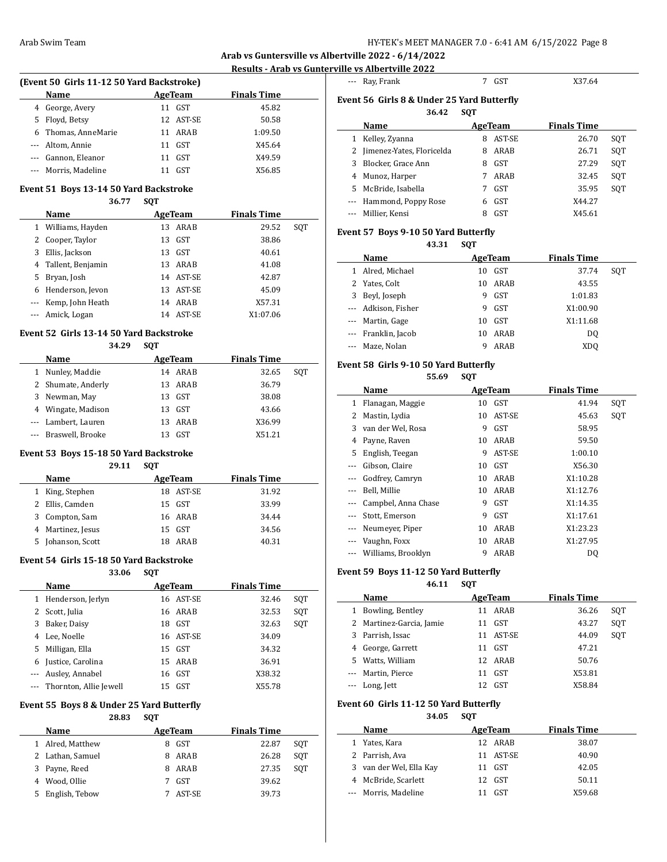**Arab vs Guntersville vs Albertville 2022 - 6/14/2022**

l,

 $\overline{\phantom{a}}$ 

 $\overline{a}$ 

**Results - Arab vs Gunterville vs Albertville 2022**

| (Event 50 Girls 11-12 50 Yard Backstroke) |                      |    |            |                    |  |  |  |
|-------------------------------------------|----------------------|----|------------|--------------------|--|--|--|
|                                           | <b>Name</b>          |    | AgeTeam    | <b>Finals Time</b> |  |  |  |
| 4                                         | George, Avery        | 11 | <b>GST</b> | 45.82              |  |  |  |
|                                           | 5 Floyd, Betsy       |    | 12 AST-SE  | 50.58              |  |  |  |
|                                           | 6 Thomas, AnneMarie  | 11 | ARAB       | 1:09.50            |  |  |  |
|                                           | --- Altom, Annie     | 11 | GST        | X45.64             |  |  |  |
|                                           | Gannon, Eleanor      | 11 | GST        | X49.59             |  |  |  |
|                                           | --- Morris, Madeline |    | <b>GST</b> | X56.85             |  |  |  |

#### **Event 51 Boys 13-14 50 Yard Backstroke**

#### **36.77 SQT**

|   | Name                 | AgeTeam |           | <b>Finals Time</b> |     |
|---|----------------------|---------|-----------|--------------------|-----|
|   | 1 Williams, Hayden   |         | 13 ARAB   | 29.52              | SOT |
| 2 | Cooper, Taylor       |         | 13 GST    | 38.86              |     |
| 3 | Ellis, Jackson       |         | 13 GST    | 40.61              |     |
|   | 4 Tallent, Benjamin  |         | 13 ARAB   | 41.08              |     |
| 5 | Bryan, Josh          |         | 14 AST-SE | 42.87              |     |
| 6 | Henderson, Jevon     |         | 13 AST-SE | 45.09              |     |
|   | --- Kemp, John Heath |         | 14 ARAB   | X57.31             |     |
|   | --- Amick, Logan     |         | 14 AST-SE | X1:07.06           |     |

### **Event 52 Girls 13-14 50 Yard Backstroke**

| 34.29 | SOT |
|-------|-----|
|-------|-----|

| Name                 | AgeTeam |         | <b>Finals Time</b> |     |
|----------------------|---------|---------|--------------------|-----|
| 1 Nunley, Maddie     |         | 14 ARAB | 32.65              | SOT |
| 2 Shumate, Anderly   |         | 13 ARAB | 36.79              |     |
| 3 Newman, May        |         | 13 GST  | 38.08              |     |
| 4 Wingate, Madison   |         | 13 GST  | 43.66              |     |
| --- Lambert, Lauren  | 13.     | ARAB    | X36.99             |     |
| --- Braswell, Brooke |         | GST     | X51.21             |     |

#### **Event 53 Boys 15-18 50 Yard Backstroke**

**29.11 SQT**

| Name                 | AgeTeam       | <b>Finals Time</b> |
|----------------------|---------------|--------------------|
| 1 King, Stephen      | AST-SE<br>18. | 31.92              |
| 2 Ellis, Camden      | 15 GST        | 33.99              |
| Compton, Sam<br>3.   | 16 ARAB       | 34.44              |
| 4 Martinez, Jesus    | 15 GST        | 34.56              |
| Johanson, Scott<br>5 | ARAR<br>18    | 40.31              |

#### **Event 54 Girls 15-18 50 Yard Backstroke**

 $\overline{a}$ 

**33.06 SQT**

|   | Name                       | AgeTeam |           | <b>Finals Time</b> |     |
|---|----------------------------|---------|-----------|--------------------|-----|
|   | 1 Henderson, Jerlyn        |         | 16 AST-SE | 32.46              | SOT |
|   | 2 Scott, Julia             |         | 16 ARAB   | 32.53              | SOT |
| 3 | Baker, Daisy               | 18      | GST       | 32.63              | SOT |
| 4 | Lee, Noelle                |         | 16 AST-SE | 34.09              |     |
| 5 | Milligan, Ella             |         | 15 GST    | 34.32              |     |
| 6 | Justice, Carolina          |         | 15 ARAB   | 36.91              |     |
|   | --- Ausley, Annabel        | 16      | GST       | X38.32             |     |
|   | --- Thornton, Allie Jewell | 15      | GST       | X55.78             |     |

### **Event 55 Boys 8 & Under 25 Yard Butterfly**

**28.83 SQT**

|    | Name             | AgeTeam |            | <b>Finals Time</b> |     |
|----|------------------|---------|------------|--------------------|-----|
|    | 1 Alred, Matthew |         | <b>GST</b> | 22.87              | SOT |
|    | 2 Lathan, Samuel | 8       | ARAB       | 26.28              | SOT |
|    | 3 Payne, Reed    | 8       | ARAB       | 27.35              | SOT |
|    | 4 Wood, Ollie    |         | <b>GST</b> | 39.62              |     |
| 5. | English, Tebow   |         | AST-SE     | 39.73              |     |
|    |                  |         |            |                    |     |

| $---$    | Ray, Frank                                  |            | GST        | X37.64             |     |
|----------|---------------------------------------------|------------|------------|--------------------|-----|
|          | Event 56  Girls 8 & Under 25 Yard Butterfly |            |            |                    |     |
|          | 36.42                                       | <b>SQT</b> |            |                    |     |
|          | Name                                        |            | AgeTeam    | <b>Finals Time</b> |     |
| 1        | Kelley, Zyanna                              | 8          | AST-SE     | 26.70              | SOT |
|          | Jimenez-Yates, Floricelda                   | 8          | ARAB       | 26.71              | SOT |
| 3        | Blocker, Grace Ann                          | 8          | GST        | 27.29              | SOT |
| 4        | Munoz, Harper                               |            | ARAB       | 32.45              | SOT |
| 5.       | McBride, Isabella                           |            | GST        | 35.95              | SOT |
| $\cdots$ | Hammond, Poppy Rose                         | 6          | GST        | X44.27             |     |
|          | Millier. Kensi                              | 8          | <b>GST</b> | X45.61             |     |
|          |                                             |            |            |                    |     |

## **Event 57 Boys 9-10 50 Yard Butterfly**

**43.31 SQT**

| Name                | AgeTeam |      | <b>Finals Time</b> |     |
|---------------------|---------|------|--------------------|-----|
| 1 Alred, Michael    | 10      | GST  | 37.74              | SOT |
| 2 Yates, Colt       | 10      | ARAB | 43.55              |     |
| 3 Beyl, Joseph      | 9       | GST  | 1:01.83            |     |
| --- Adkison, Fisher | 9       | GST  | X1:00.90           |     |
| --- Martin, Gage    | 10      | GST  | X1:11.68           |     |
| --- Franklin, Jacob | 10      | ARAB | DO.                |     |
| --- Maze, Nolan     |         | ARAB | XDO                |     |

### **Event 58 Girls 9-10 50 Yard Butterfly**

**55.69 SQT**

|          | Name                   | AgeTeam |            | <b>Finals Time</b> |     |
|----------|------------------------|---------|------------|--------------------|-----|
| 1        | Flanagan, Maggie       | 10      | GST        | 41.94              | SQT |
| 2        | Mastin, Lydia          |         | 10 AST-SE  | 45.63              | SQT |
| 3        | van der Wel, Rosa      | 9       | <b>GST</b> | 58.95              |     |
| 4        | Payne, Raven           | 10      | ARAB       | 59.50              |     |
| 5.       | English, Teegan        | 9       | AST-SE     | 1:00.10            |     |
|          | Gibson, Claire         | 10      | GST        | X56.30             |     |
|          | Godfrey, Camryn        | 10      | ARAB       | X1:10.28           |     |
|          | Bell, Millie           | 10      | ARAB       | X1:12.76           |     |
| $\cdots$ | Campbel, Anna Chase    | 9       | GST        | X1:14.35           |     |
|          | Stott, Emerson         | 9       | GST        | X1:17.61           |     |
|          | Neumeyer, Piper        | 10      | ARAB       | X1:23.23           |     |
|          | Vaughn, Foxx           | 10      | ARAB       | X1:27.95           |     |
|          | --- Williams, Brooklyn | 9       | ARAB       | DO                 |     |

#### **Event 59 Boys 11-12 50 Yard Butterfly**

**46.11 SQT**

|    | Name                     | AgeTeam |         | <b>Finals Time</b> |     |
|----|--------------------------|---------|---------|--------------------|-----|
|    | Bowling, Bentley         | 11      | ARAB    | 36.26              | SOT |
|    | 2 Martinez-Garcia, Jamie | 11      | GST     | 43.27              | SOT |
| 3  | Parrish, Issac           | 11.     | AST-SE  | 44.09              | SOT |
| 4  | George, Garrett          | 11      | GST     | 47.21              |     |
| 5. | Watts, William           |         | 12 ARAB | 50.76              |     |
|    | --- Martin, Pierce       | 11      | GST     | X53.81             |     |
|    | --- Long, Jett           | 12.     | GST     | X58.84             |     |

### **Event 60 Girls 11-12 50 Yard Butterfly**

**34.05 SQT**

|   | Name                  | AgeTeam   | <b>Finals Time</b> |
|---|-----------------------|-----------|--------------------|
|   | Yates, Kara           | 12 ARAB   | 38.07              |
|   | 2 Parrish, Ava        | 11 AST-SE | 40.90              |
| 3 | van der Wel, Ella Kay | 11 GST    | 42.05              |
|   | 4 McBride, Scarlett   | 12 GST    | 50.11              |
|   | --- Morris, Madeline  | GST       | X59.68             |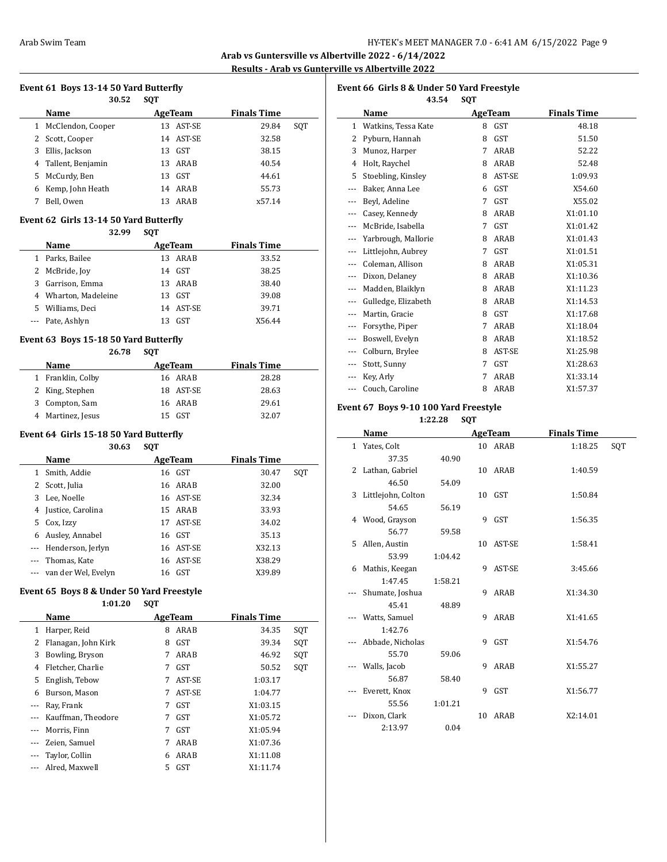**Arab vs Guntersville vs Albertville 2022 - 6/14/2022 Results - Arab vs Gunterville vs Albertville 2022**

 $\overline{\phantom{a}}$ 

## **Event 61 Boys 13-14 50 Yard Butterfly**

|   | 30.52             | <b>SOT</b> |            |                    |     |
|---|-------------------|------------|------------|--------------------|-----|
|   | Name              |            | AgeTeam    | <b>Finals Time</b> |     |
|   | McClendon, Cooper | 13         | AST-SE     | 29.84              | SOT |
| 2 | Scott, Cooper     |            | 14 AST-SE  | 32.58              |     |
| 3 | Ellis, Jackson    | 13         | GST        | 38.15              |     |
| 4 | Tallent, Benjamin | 13         | ARAB       | 40.54              |     |
| 5 | McCurdy, Ben      | 13         | <b>GST</b> | 44.61              |     |
| 6 | Kemp, John Heath  |            | 14 ARAB    | 55.73              |     |
|   | Bell, Owen        | 13         | ARAB       | x57.14             |     |

### **Event 62 Girls 13-14 50 Yard Butterfly**

|    | 32.99                | <b>SOT</b> |         |                    |
|----|----------------------|------------|---------|--------------------|
|    | Name                 |            | AgeTeam | <b>Finals Time</b> |
|    | 1 Parks, Bailee      |            | 13 ARAB | 33.52              |
|    | 2 McBride, Joy       | 14         | GST     | 38.25              |
|    | 3 Garrison, Emma     |            | 13 ARAB | 38.40              |
|    | 4 Wharton, Madeleine | 13         | GST     | 39.08              |
| 5. | Williams, Deci       | 14         | AST-SE  | 39.71              |
|    | --- Pate, Ashlyn     | 13         | GST     | X56.44             |

#### **Event 63 Boys 15-18 50 Yard Butterfly**

|                   | 26.78 | <b>SOT</b> |           |                    |
|-------------------|-------|------------|-----------|--------------------|
| Name              |       |            | AgeTeam   | <b>Finals Time</b> |
| 1 Franklin, Colby |       |            | 16 ARAB   | 28.28              |
| 2 King, Stephen   |       |            | 18 AST-SE | 28.63              |
| 3 Compton, Sam    |       |            | 16 ARAB   | 29.61              |
| 4 Martinez, Jesus |       | 15.        | GST       | 32.07              |

#### **Event 64 Girls 15-18 50 Yard Butterfly**

|   | 30.63                 | <b>SQT</b> |            |                    |     |
|---|-----------------------|------------|------------|--------------------|-----|
|   | Name                  |            | AgeTeam    | <b>Finals Time</b> |     |
| 1 | Smith, Addie          | 16         | <b>GST</b> | 30.47              | SQT |
| 2 | Scott, Julia          |            | 16 ARAB    | 32.00              |     |
| 3 | Lee. Noelle           |            | 16 AST-SE  | 32.34              |     |
| 4 | Justice, Carolina     | 15         | ARAB       | 33.93              |     |
| 5 | Cox, Izzy             | 17         | AST-SE     | 34.02              |     |
| 6 | Ausley, Annabel       | 16         | GST        | 35.13              |     |
|   | --- Henderson, Jerlyn | 16         | AST-SE     | X32.13             |     |
|   | Thomas, Kate          |            | 16 AST-SE  | X38.29             |     |
|   | van der Wel, Evelyn   | 16         | <b>GST</b> | X39.89             |     |

#### **Event 65 Boys 8 & Under 50 Yard Freestyle 1:01.20 SQT**

|   | 1:01.ZU             | 3Ų I |            |                    |     |
|---|---------------------|------|------------|--------------------|-----|
|   | Name                |      | AgeTeam    | <b>Finals Time</b> |     |
| 1 | Harper, Reid        | 8    | ARAB       | 34.35              | SQT |
| 2 | Flanagan, John Kirk | 8    | GST        | 39.34              | SQT |
| 3 | Bowling, Bryson     | 7    | ARAB       | 46.92              | SQT |
| 4 | Fletcher, Charlie   | 7    | <b>GST</b> | 50.52              | SQT |
| 5 | English, Tebow      | 7    | AST-SE     | 1:03.17            |     |
| 6 | Burson, Mason       | 7    | AST-SE     | 1:04.77            |     |
|   | Ray, Frank          | 7    | <b>GST</b> | X1:03.15           |     |
|   | Kauffman, Theodore  | 7    | GST        | X1:05.72           |     |
|   | Morris, Finn        | 7    | <b>GST</b> | X1:05.94           |     |
|   | Zeien, Samuel       | 7    | ARAB       | X1:07.36           |     |
|   | Taylor, Collin      | 6    | ARAB       | X1:11.08           |     |
|   | Alred, Maxwell      | 5    | <b>GST</b> | X1:11.74           |     |
|   |                     |      |            |                    |     |

|              | Event 66 Girls 8 & Under 50 Yard Freestyle<br>43.54 | <b>SQT</b> |             |                    |
|--------------|-----------------------------------------------------|------------|-------------|--------------------|
|              | Name                                                |            | AgeTeam     | <b>Finals Time</b> |
| $\mathbf{1}$ | Watkins, Tessa Kate                                 | 8          | <b>GST</b>  | 48.18              |
| 2            | Pyburn, Hannah                                      | 8          | <b>GST</b>  | 51.50              |
| 3            | Munoz, Harper                                       | 7          | ARAB        | 52.22              |
| 4            | Holt, Raychel                                       | 8          | <b>ARAB</b> | 52.48              |
| 5            | Stoebling, Kinsley                                  | 8          | AST-SE      | 1:09.93            |
| ---          | Baker, Anna Lee                                     | 6          | <b>GST</b>  | X54.60             |
| $---$        | Beyl, Adeline                                       | 7          | <b>GST</b>  | X55.02             |
| ---          | Casey, Kennedy                                      | 8          | ARAB        | X1:01.10           |
|              | McBride, Isabella                                   | 7          | <b>GST</b>  | X1:01.42           |
|              | Yarbrough, Mallorie                                 | 8          | ARAB        | X1:01.43           |
|              | Littlejohn, Aubrey                                  | 7          | <b>GST</b>  | X1:01.51           |
| ---          | Coleman, Allison                                    | 8          | ARAB        | X1:05.31           |
| $---$        | Dixon, Delaney                                      | 8          | ARAB        | X1:10.36           |
| ---          | Madden, Blaiklyn                                    | 8          | ARAB        | X1:11.23           |
|              | Gulledge, Elizabeth                                 | 8          | ARAB        | X1:14.53           |
|              | Martin, Gracie                                      | 8          | <b>GST</b>  | X1:17.68           |
|              | Forsythe, Piper                                     | 7          | ARAB        | X1:18.04           |
| ---          | Boswell, Evelyn                                     | 8          | ARAB        | X1:18.52           |
|              | Colburn, Brylee                                     | 8          | AST-SE      | X1:25.98           |
|              | Stott, Sunny                                        | 7          | <b>GST</b>  | X1:28.63           |
|              | Key, Arly                                           | 7          | ARAB        | X1:33.14           |
| ---          | Couch, Caroline                                     | 8          | <b>ARAB</b> | X1:57.37           |

### **Event 67 Boys 9-10 100 Yard Freestyle**

**1:22.28 SQT**

|   | Name               |         |    | <b>AgeTeam</b> | <b>Finals Time</b> |     |
|---|--------------------|---------|----|----------------|--------------------|-----|
|   | 1 Yates, Colt      |         |    | 10 ARAB        | 1:18.25            | SQT |
|   | 37.35              | 40.90   |    |                |                    |     |
| 2 | Lathan, Gabriel    |         |    | 10 ARAB        | 1:40.59            |     |
|   | 46.50              | 54.09   |    |                |                    |     |
| 3 | Littlejohn, Colton |         |    | 10 GST         | 1:50.84            |     |
|   | 54.65              | 56.19   |    |                |                    |     |
| 4 | Wood, Grayson      |         |    | 9 GST          | 1:56.35            |     |
|   | 56.77              | 59.58   |    |                |                    |     |
| 5 | Allen, Austin      |         | 10 | AST-SE         | 1:58.41            |     |
|   | 53.99              | 1:04.42 |    |                |                    |     |
| 6 | Mathis, Keegan     |         | 9  | AST-SE         | 3:45.66            |     |
|   | 1:47.45            | 1:58.21 |    |                |                    |     |
|   | Shumate, Joshua    |         | 9  | ARAB           | X1:34.30           |     |
|   | 45.41              | 48.89   |    |                |                    |     |
|   | Watts, Samuel      |         | 9  | ARAB           | X1:41.65           |     |
|   | 1:42.76            |         |    |                |                    |     |
|   | Abbade, Nicholas   |         |    | 9 GST          | X1:54.76           |     |
|   | 55.70              | 59.06   |    |                |                    |     |
|   | Walls, Jacob       |         | 9  | ARAB           | X1:55.27           |     |
|   | 56.87              | 58.40   |    |                |                    |     |
|   | Everett, Knox      |         | 9  | <b>GST</b>     | X1:56.77           |     |
|   | 55.56              | 1:01.21 |    |                |                    |     |
|   | Dixon, Clark       |         | 10 | ARAB           | X2:14.01           |     |
|   | 2:13.97            | 0.04    |    |                |                    |     |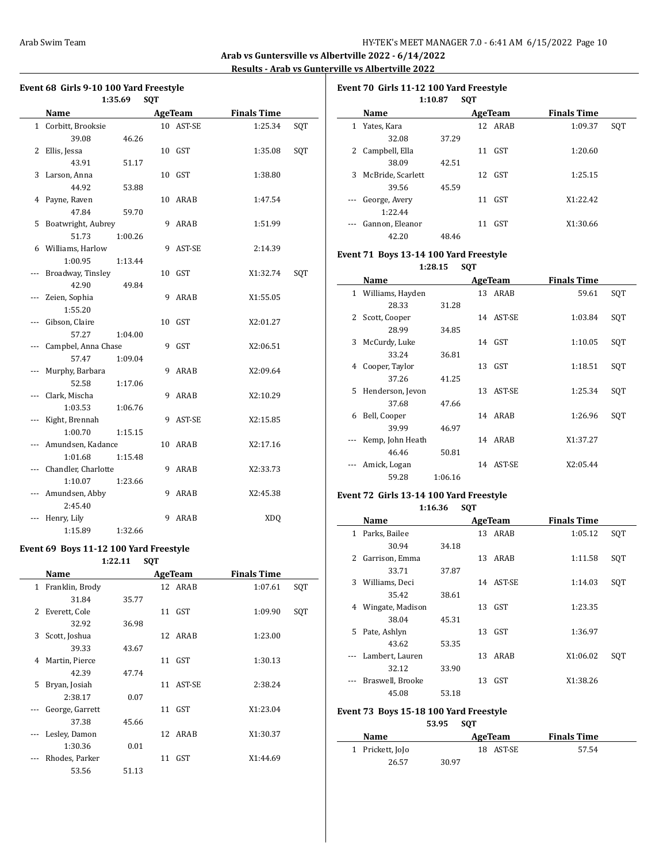**Arab vs Guntersville vs Albertville 2022 - 6/14/2022 Results - Arab vs Gunterville vs Albertville 2022**

| Event 68 Girls 9-10 100 Yard Freestyle |                     |         |   |                |                    |     |  |  |
|----------------------------------------|---------------------|---------|---|----------------|--------------------|-----|--|--|
| 1:35.69<br><b>SOT</b>                  |                     |         |   |                |                    |     |  |  |
|                                        | <b>Name</b>         |         |   | <b>AgeTeam</b> | <b>Finals Time</b> |     |  |  |
|                                        | 1 Corbitt, Brooksie |         |   | 10 AST-SE      | 1:25.34            | SQT |  |  |
|                                        | 39.08               | 46.26   |   |                |                    |     |  |  |
| 2                                      | Ellis, Jessa        |         |   | 10 GST         | 1:35.08            | SQT |  |  |
|                                        | 43.91               | 51.17   |   |                |                    |     |  |  |
| 3                                      | Larson, Anna        |         |   | 10 GST         | 1:38.80            |     |  |  |
|                                        | 44.92               | 53.88   |   |                |                    |     |  |  |
|                                        | 4 Payne, Raven      |         |   | 10 ARAB        | 1:47.54            |     |  |  |
|                                        | 47.84               | 59.70   |   |                |                    |     |  |  |
| 5                                      | Boatwright, Aubrey  |         | 9 | ARAB           | 1:51.99            |     |  |  |
|                                        | 51.73               | 1:00.26 |   |                |                    |     |  |  |
|                                        | 6 Williams, Harlow  |         | 9 | AST-SE         | 2:14.39            |     |  |  |
|                                        | 1:00.95             | 1:13.44 |   |                |                    |     |  |  |
| ---                                    | Broadway, Tinsley   |         |   | 10 GST         | X1:32.74           | SQT |  |  |
|                                        | 42.90               | 49.84   |   |                |                    |     |  |  |
| ---                                    | Zeien, Sophia       |         | 9 | ARAB           | X1:55.05           |     |  |  |
|                                        | 1:55.20             |         |   |                |                    |     |  |  |
| ---                                    | Gibson, Claire      |         |   | 10 GST         | X2:01.27           |     |  |  |
|                                        | 57.27               | 1:04.00 |   |                |                    |     |  |  |
|                                        | Campbel, Anna Chase |         | 9 | GST            | X2:06.51           |     |  |  |
|                                        | 57.47               | 1:09.04 |   |                |                    |     |  |  |
|                                        | Murphy, Barbara     |         | 9 | ARAB           | X2:09.64           |     |  |  |
|                                        | 52.58               | 1:17.06 |   |                |                    |     |  |  |
|                                        | Clark, Mischa       |         | 9 | ARAB           | X2:10.29           |     |  |  |
|                                        | 1:03.53             | 1:06.76 |   |                |                    |     |  |  |
|                                        | Kight, Brennah      |         | 9 | AST-SE         | X2:15.85           |     |  |  |
|                                        | 1:00.70             | 1:15.15 |   |                |                    |     |  |  |
|                                        | Amundsen, Kadance   |         |   | 10 ARAB        | X2:17.16           |     |  |  |
|                                        | 1:01.68             | 1:15.48 |   |                |                    |     |  |  |
|                                        | Chandler, Charlotte |         | 9 | ARAB           | X2:33.73           |     |  |  |
|                                        | 1:10.07             | 1:23.66 |   |                |                    |     |  |  |
|                                        | Amundsen, Abby      |         | 9 | ARAB           | X2:45.38           |     |  |  |
|                                        | 2:45.40             |         |   |                |                    |     |  |  |
|                                        | Henry, Lily         |         | 9 | ARAB           | <b>XDQ</b>         |     |  |  |
|                                        | 1:15.89             | 1:32.66 |   |                |                    |     |  |  |

#### **Event 69 Boys 11-12 100 Yard Freestyle**

**1:22.11 SQT**

|    | Name            |       | <b>AgeTeam</b> | <b>Finals Time</b> |     |
|----|-----------------|-------|----------------|--------------------|-----|
| 1  | Franklin, Brody |       | 12 ARAB        | 1:07.61            | SQT |
|    | 31.84           | 35.77 |                |                    |     |
| 2. | Everett, Cole   |       | 11 GST         | 1:09.90            | SQT |
|    | 32.92           | 36.98 |                |                    |     |
| 3  | Scott, Joshua   |       | 12 ARAB        | 1:23.00            |     |
|    | 39.33           | 43.67 |                |                    |     |
| 4  | Martin, Pierce  |       | 11 GST         | 1:30.13            |     |
|    | 42.39           | 47.74 |                |                    |     |
| 5  | Bryan, Josiah   |       | 11 AST-SE      | 2:38.24            |     |
|    | 2:38.17         | 0.07  |                |                    |     |
|    | George, Garrett |       | $11$ GST       | X1:23.04           |     |
|    | 37.38           | 45.66 |                |                    |     |
|    | Lesley, Damon   |       | 12 ARAB        | X1:30.37           |     |
|    | 1:30.36         | 0.01  |                |                    |     |
|    | Rhodes, Parker  |       | 11 GST         | X1:44.69           |     |
|    | 53.56           | 51.13 |                |                    |     |

| Event 70 Girls 11-12 100 Yard Freestyle |                     |       |    |         |                    |     |  |  |  |  |  |
|-----------------------------------------|---------------------|-------|----|---------|--------------------|-----|--|--|--|--|--|
| 1:10.87<br><b>SOT</b>                   |                     |       |    |         |                    |     |  |  |  |  |  |
|                                         | Name                |       |    | AgeTeam | <b>Finals Time</b> |     |  |  |  |  |  |
|                                         | 1 Yates, Kara       |       |    | 12 ARAB | 1:09.37            | SOT |  |  |  |  |  |
|                                         | 32.08               | 37.29 |    |         |                    |     |  |  |  |  |  |
|                                         | 2 Campbell, Ella    |       |    | 11 GST  | 1:20.60            |     |  |  |  |  |  |
|                                         | 38.09               | 42.51 |    |         |                    |     |  |  |  |  |  |
|                                         | 3 McBride, Scarlett |       |    | 12 GST  | 1:25.15            |     |  |  |  |  |  |
|                                         | 39.56               | 45.59 |    |         |                    |     |  |  |  |  |  |
|                                         | --- George, Avery   |       | 11 | GST     | X1:22.42           |     |  |  |  |  |  |
|                                         | 1:22.44             |       |    |         |                    |     |  |  |  |  |  |
|                                         | Gannon, Eleanor     |       | 11 | GST     | X1:30.66           |     |  |  |  |  |  |
|                                         | 42.20               | 48.46 |    |         |                    |     |  |  |  |  |  |

### **Event 71 Boys 13-14 100 Yard Freestyle**

**1:28.15 SQT**

|              | Name             |         |    | AgeTeam   | <b>Finals Time</b> |     |
|--------------|------------------|---------|----|-----------|--------------------|-----|
| $\mathbf{1}$ | Williams, Hayden |         |    | 13 ARAB   | 59.61              | SQT |
|              | 28.33            | 31.28   |    |           |                    |     |
| 2            | Scott, Cooper    |         |    | 14 AST-SE | 1:03.84            | SQT |
|              | 28.99            | 34.85   |    |           |                    |     |
| 3            | McCurdy, Luke    |         |    | 14 GST    | 1:10.05            | SQT |
|              | 33.24            | 36.81   |    |           |                    |     |
| 4            | Cooper, Taylor   |         |    | 13 GST    | 1:18.51            | SQT |
|              | 37.26            | 41.25   |    |           |                    |     |
| 5            | Henderson, Jevon |         | 13 | AST-SE    | 1:25.34            | SQT |
|              | 37.68            | 47.66   |    |           |                    |     |
| 6            | Bell, Cooper     |         |    | 14 ARAB   | 1:26.96            | SQT |
|              | 39.99            | 46.97   |    |           |                    |     |
|              | Kemp, John Heath |         |    | 14 ARAB   | X1:37.27           |     |
|              | 46.46            | 50.81   |    |           |                    |     |
|              | Amick, Logan     |         |    | 14 AST-SE | X2:05.44           |     |
|              | 59.28            | 1:06.16 |    |           |                    |     |

### **Event 72 Girls 13-14 100 Yard Freestyle**

**1:16.36 SQT**

|    | Name             |       |    | <b>AgeTeam</b> | <b>Finals Time</b> |     |
|----|------------------|-------|----|----------------|--------------------|-----|
| 1  | Parks, Bailee    |       |    | 13 ARAB        | 1:05.12            | SQT |
|    | 30.94            | 34.18 |    |                |                    |     |
| 2  | Garrison, Emma   |       | 13 | ARAB           | 1:11.58            | SQT |
|    | 33.71            | 37.87 |    |                |                    |     |
| 3  | Williams, Deci   |       |    | 14 AST-SE      | 1:14.03            | SQT |
|    | 35.42            | 38.61 |    |                |                    |     |
| 4  | Wingate, Madison |       | 13 | GST            | 1:23.35            |     |
|    | 38.04            | 45.31 |    |                |                    |     |
| 5. | Pate, Ashlyn     |       | 13 | GST            | 1:36.97            |     |
|    | 43.62            | 53.35 |    |                |                    |     |
|    | Lambert, Lauren  |       | 13 | ARAB           | X1:06.02           | SQT |
|    | 32.12            | 33.90 |    |                |                    |     |
|    | Braswell, Brooke |       | 13 | GST            | X1:38.26           |     |
|    | 45.08            | 53.18 |    |                |                    |     |

### **Event 73 Boys 15-18 100 Yard Freestyle**

**53.95 SQT**

| <b>Name</b>      |       | AgeTeam   | <b>Finals Time</b> |  |
|------------------|-------|-----------|--------------------|--|
| 1 Prickett, JoJo |       | 18 AST-SE | 57.54              |  |
| 26.57            | 30.97 |           |                    |  |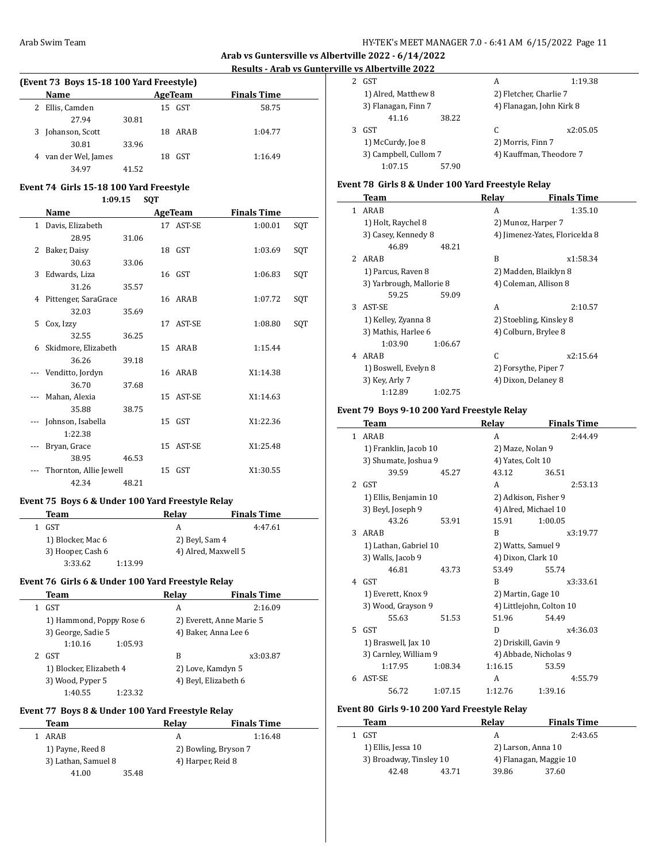# **Arab vs Guntersville vs Albertville 2022 - 6/14/2022**

## **Results - Arab vs Gunterville vs Albertville 2022**

| (Event 73 Boys 15-18 100 Yard Freestyle) |       |                  |                    |  |  |  |
|------------------------------------------|-------|------------------|--------------------|--|--|--|
| <b>Name</b>                              |       | AgeTeam          | <b>Finals Time</b> |  |  |  |
| Ellis, Camden                            |       | 15 GST           | 58.75              |  |  |  |
| 27.94                                    | 30.81 |                  |                    |  |  |  |
| 3 Johanson, Scott                        |       | ARAB<br>18.      | 1:04.77            |  |  |  |
| 30.81                                    | 33.96 |                  |                    |  |  |  |
| van der Wel, James                       |       | <b>GST</b><br>18 | 1:16.49            |  |  |  |
| 34.97                                    | 41.52 |                  |                    |  |  |  |

#### **Event 74 Girls 15-18 100 Yard Freestyle 1:09.15 SQT**

|   | 1:09.15<br>SQT         |       |    |           |                    |     |
|---|------------------------|-------|----|-----------|--------------------|-----|
|   | Name                   |       |    | AgeTeam   | <b>Finals Time</b> |     |
|   | 1 Davis, Elizabeth     |       |    | 17 AST-SE | 1:00.01            | SQT |
|   | 28.95                  | 31.06 |    |           |                    |     |
| 2 | Baker, Daisy           |       |    | 18 GST    | 1:03.69            | SQT |
|   | 30.63                  | 33.06 |    |           |                    |     |
| 3 | Edwards, Liza          |       |    | 16 GST    | 1:06.83            | SQT |
|   | 31.26                  | 35.57 |    |           |                    |     |
| 4 | Pittenger, SaraGrace   |       |    | 16 ARAB   | 1:07.72            | SQT |
|   | 32.03                  | 35.69 |    |           |                    |     |
| 5 | Cox, Izzy              |       | 17 | AST-SE    | 1:08.80            | SQT |
|   | 32.55                  | 36.25 |    |           |                    |     |
|   | 6 Skidmore, Elizabeth  |       |    | 15 ARAB   | 1:15.44            |     |
|   | 36.26                  | 39.18 |    |           |                    |     |
|   | Venditto, Jordyn       |       |    | 16 ARAB   | X1:14.38           |     |
|   | 36.70                  | 37.68 |    |           |                    |     |
|   | Mahan, Alexia          |       | 15 | AST-SE    | X1:14.63           |     |
|   | 35.88                  | 38.75 |    |           |                    |     |
|   | Johnson, Isabella      |       |    | 15 GST    | X1:22.36           |     |
|   | 1:22.38                |       |    |           |                    |     |
|   | Bryan, Grace           |       |    | 15 AST-SE | X1:25.48           |     |
|   | 38.95                  | 46.53 |    |           |                    |     |
|   | Thornton, Allie Jewell |       |    | 15 GST    | X1:30.55           |     |
|   | 42.34                  | 48.21 |    |           |                    |     |

### **Event 75 Boys 6 & Under 100 Yard Freestyle Relay**

| Team              |         | Relav               | <b>Finals Time</b> |
|-------------------|---------|---------------------|--------------------|
| GST               |         | А                   | 4:47.61            |
| 1) Blocker, Mac 6 |         | 2) Beyl, Sam 4      |                    |
| 3) Hooper, Cash 6 |         | 4) Alred, Maxwell 5 |                    |
| 3:33.62           | 1:13.99 |                     |                    |

## **Event 76 Girls 6 & Under 100 Yard Freestyle Relay**

|   | Team                     | Relay | <b>Finals Time</b>       |  |
|---|--------------------------|-------|--------------------------|--|
| 1 | GST                      | A     | 2:16.09                  |  |
|   | 1) Hammond, Poppy Rose 6 |       | 2) Everett, Anne Marie 5 |  |
|   | 3) George, Sadie 5       |       | 4) Baker, Anna Lee 6     |  |
|   | 1:10.16<br>1:05.93       |       |                          |  |
| 2 | GST                      | B     | x3:03.87                 |  |
|   | 1) Blocker, Elizabeth 4  |       | 2) Love, Kamdyn 5        |  |
|   | 3) Wood, Pyper 5         |       | 4) Beyl, Elizabeth 6     |  |
|   | 1:40.55<br>1:23.32       |       |                          |  |

## **Event 77 Boys 8 & Under 100 Yard Freestyle Relay**

| Team                | Relav | <b>Finals Time</b>   |
|---------------------|-------|----------------------|
| ARAB                |       | 1:16.48              |
| 1) Payne, Reed 8    |       | 2) Bowling, Bryson 7 |
| 3) Lathan, Samuel 8 |       | 4) Harper, Reid 8    |
| 41.00               | 35.48 |                      |

| GST                   |       | А                      | 1:19.38                  |
|-----------------------|-------|------------------------|--------------------------|
| 1) Alred, Matthew 8   |       | 2) Fletcher, Charlie 7 |                          |
| 3) Flanagan, Finn 7   |       |                        | 4) Flanagan, John Kirk 8 |
| 41.16                 | 38.22 |                        |                          |
| GST                   |       | C                      | x2:05.05                 |
| 1) McCurdy, Joe 8     |       | 2) Morris, Finn 7      |                          |
| 3) Campbell, Cullom 7 |       |                        | 4) Kauffman, Theodore 7  |
| 1:07.15               | 57.90 |                        |                          |

### **Event 78 Girls 8 & Under 100 Yard Freestyle Relay**

|               | Team                     | Relay | <b>Finals Time</b>             |
|---------------|--------------------------|-------|--------------------------------|
| 1             | ARAB                     | A     | 1:35.10                        |
|               | 1) Holt, Raychel 8       |       | 2) Munoz, Harper 7             |
|               | 3) Casey, Kennedy 8      |       | 4) Jimenez-Yates, Floricelda 8 |
|               | 46.89<br>48.21           |       |                                |
| $\mathcal{L}$ | ARAB                     | R     | x1:58.34                       |
|               | 1) Parcus, Raven 8       |       | 2) Madden, Blaiklyn 8          |
|               | 3) Yarbrough, Mallorie 8 |       | 4) Coleman, Allison 8          |
|               | 59.25<br>59.09           |       |                                |
| 3             | AST-SE                   | A     | 2:10.57                        |
|               | 1) Kelley, Zyanna 8      |       | 2) Stoebling, Kinsley 8        |
|               | 3) Mathis, Harlee 6      |       | 4) Colburn, Brylee 8           |
|               | 1:03.90<br>1:06.67       |       |                                |
| 4             | ARAB                     | C     | x2:15.64                       |
|               | 1) Boswell, Evelyn 8     |       | 2) Forsythe, Piper 7           |
|               | 3) Key, Arly 7           |       | 4) Dixon, Delaney 8            |
|               | 1:12.89<br>1:02.75       |       |                                |

### **Event 79 Boys 9-10 200 Yard Freestyle Relay**

|                | Team                  |         | Relay                | <b>Finals Time</b>       |
|----------------|-----------------------|---------|----------------------|--------------------------|
| $\mathbf{1}$   | ARAB                  |         | A                    | 2:44.49                  |
|                | 1) Franklin, Jacob 10 |         | 2) Maze, Nolan 9     |                          |
|                | 3) Shumate, Joshua 9  |         | 4) Yates, Colt 10    |                          |
|                | 39.59                 | 45.27   | 43.12                | 36.51                    |
| $\overline{2}$ | GST                   |         | A                    | 2:53.13                  |
|                | 1) Ellis, Benjamin 10 |         | 2) Adkison, Fisher 9 |                          |
|                | 3) Beyl, Joseph 9     |         | 4) Alred, Michael 10 |                          |
|                | 43.26                 | 53.91   | 15.91                | 1:00.05                  |
| 3              | ARAB                  |         | R                    | x3:19.77                 |
|                | 1) Lathan, Gabriel 10 |         | 2) Watts, Samuel 9   |                          |
|                | 3) Walls, Jacob 9     |         | 4) Dixon, Clark 10   |                          |
|                | 46.81                 | 43.73   | 53.49                | 55.74                    |
|                | 4 GST                 |         | R                    | x3:33.61                 |
|                | 1) Everett, Knox 9    |         | 2) Martin, Gage 10   |                          |
|                | 3) Wood, Grayson 9    |         |                      | 4) Littlejohn, Colton 10 |
|                | 55.63                 | 51.53   | 51.96                | 54.49                    |
| 5.             | GST                   |         | D                    | x4:36.03                 |
|                | 1) Braswell, Jax 10   |         | 2) Driskill, Gavin 9 |                          |
|                | 3) Carnley, William 9 |         |                      | 4) Abbade, Nicholas 9    |
|                | 1:17.95               | 1:08.34 | 1:16.15              | 53.59                    |
| 6              | AST-SE                |         | A                    | 4:55.79                  |
|                | 56.72                 | 1:07.15 | 1:12.76              | 1:39.16                  |

#### **Event 80 Girls 9-10 200 Yard Freestyle Relay**

 $\overline{\phantom{0}}$ 

| Team                    |       | Relay                  | <b>Finals Time</b> |
|-------------------------|-------|------------------------|--------------------|
| GST                     |       | А                      | 2:43.65            |
| 1) Ellis, Jessa 10      |       | 2) Larson, Anna 10     |                    |
| 3) Broadway, Tinsley 10 |       | 4) Flanagan, Maggie 10 |                    |
| 42.48                   | 43.71 | 39.86                  | 37.60              |